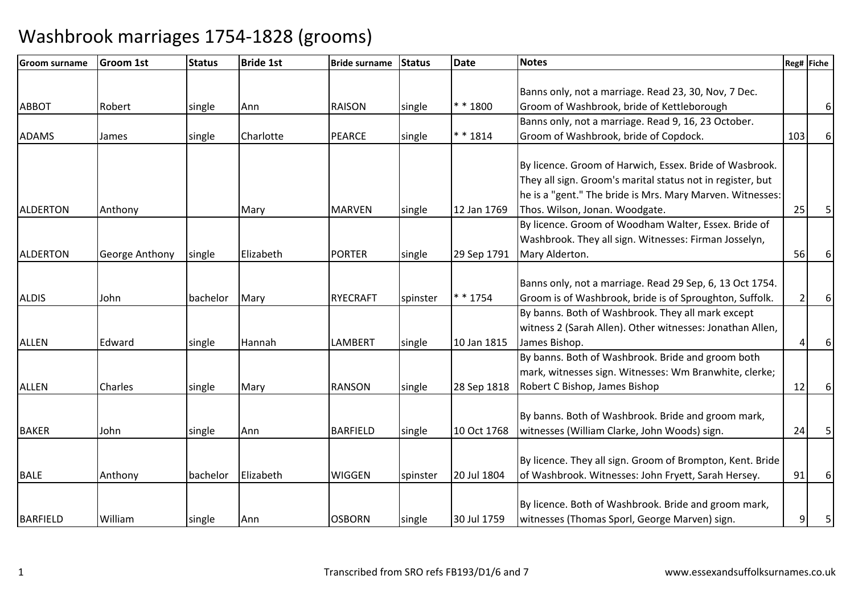| <b>Groom surname</b> | <b>Groom 1st</b>      | <b>Status</b> | <b>Bride 1st</b> | <b>Bride surname</b> | Status   | <b>Date</b> | <b>Notes</b>                                               |     | Reg# Fiche |
|----------------------|-----------------------|---------------|------------------|----------------------|----------|-------------|------------------------------------------------------------|-----|------------|
|                      |                       |               |                  |                      |          |             |                                                            |     |            |
|                      |                       |               |                  |                      |          |             | Banns only, not a marriage. Read 23, 30, Nov, 7 Dec.       |     |            |
| <b>ABBOT</b>         | Robert                | single        | Ann              | <b>RAISON</b>        | single   | * * 1800    | Groom of Washbrook, bride of Kettleborough                 |     | 61         |
|                      |                       |               |                  |                      |          |             | Banns only, not a marriage. Read 9, 16, 23 October.        |     |            |
| <b>ADAMS</b>         | James                 | single        | Charlotte        | <b>PEARCE</b>        | single   | $* * 1814$  | Groom of Washbrook, bride of Copdock.                      | 103 | 6          |
|                      |                       |               |                  |                      |          |             |                                                            |     |            |
|                      |                       |               |                  |                      |          |             | By licence. Groom of Harwich, Essex. Bride of Wasbrook.    |     |            |
|                      |                       |               |                  |                      |          |             | They all sign. Groom's marital status not in register, but |     |            |
|                      |                       |               |                  |                      |          |             | he is a "gent." The bride is Mrs. Mary Marven. Witnesses:  |     |            |
| <b>ALDERTON</b>      | Anthony               |               | Mary             | <b>MARVEN</b>        | single   | 12 Jan 1769 | Thos. Wilson, Jonan. Woodgate.                             | 25  | 5          |
|                      |                       |               |                  |                      |          |             | By licence. Groom of Woodham Walter, Essex. Bride of       |     |            |
|                      |                       |               |                  |                      |          |             | Washbrook. They all sign. Witnesses: Firman Josselyn,      |     |            |
| <b>ALDERTON</b>      | <b>George Anthony</b> | single        | Elizabeth        | <b>PORTER</b>        | single   | 29 Sep 1791 | Mary Alderton.                                             | 56  | 6          |
|                      |                       |               |                  |                      |          |             | Banns only, not a marriage. Read 29 Sep, 6, 13 Oct 1754.   |     |            |
| <b>ALDIS</b>         | John                  | bachelor      | Mary             | <b>RYECRAFT</b>      | spinster | * * 1754    | Groom is of Washbrook, bride is of Sproughton, Suffolk.    |     | $6 \mid$   |
|                      |                       |               |                  |                      |          |             | By banns. Both of Washbrook. They all mark except          |     |            |
|                      |                       |               |                  |                      |          |             | witness 2 (Sarah Allen). Other witnesses: Jonathan Allen,  |     |            |
| <b>ALLEN</b>         | Edward                |               | Hannah           | <b>LAMBERT</b>       |          | 10 Jan 1815 | James Bishop.                                              |     | $6 \mid$   |
|                      |                       | single        |                  |                      | single   |             | By banns. Both of Washbrook. Bride and groom both          |     |            |
|                      |                       |               |                  |                      |          |             | mark, witnesses sign. Witnesses: Wm Branwhite, clerke;     |     |            |
| <b>ALLEN</b>         | Charles               |               |                  | <b>RANSON</b>        |          |             | Robert C Bishop, James Bishop                              | 12  | $6 \mid$   |
|                      |                       | single        | Mary             |                      | single   | 28 Sep 1818 |                                                            |     |            |
|                      |                       |               |                  |                      |          |             | By banns. Both of Washbrook. Bride and groom mark,         |     |            |
| <b>BAKER</b>         | John                  | single        | Ann              | <b>BARFIELD</b>      | single   | 10 Oct 1768 | witnesses (William Clarke, John Woods) sign.               | 24  | 5          |
|                      |                       |               |                  |                      |          |             |                                                            |     |            |
|                      |                       |               |                  |                      |          |             | By licence. They all sign. Groom of Brompton, Kent. Bride  |     |            |
| <b>BALE</b>          | Anthony               | bachelor      | Elizabeth        | <b>WIGGEN</b>        | spinster | 20 Jul 1804 | of Washbrook. Witnesses: John Fryett, Sarah Hersey.        | 91  | $6 \mid$   |
|                      |                       |               |                  |                      |          |             |                                                            |     |            |
|                      |                       |               |                  |                      |          |             | By licence. Both of Washbrook. Bride and groom mark,       |     |            |
| <b>BARFIELD</b>      | William               | single        | Ann              | <b>OSBORN</b>        | single   | 30 Jul 1759 | witnesses (Thomas Sporl, George Marven) sign.              | 9   | 5          |
|                      |                       |               |                  |                      |          |             |                                                            |     |            |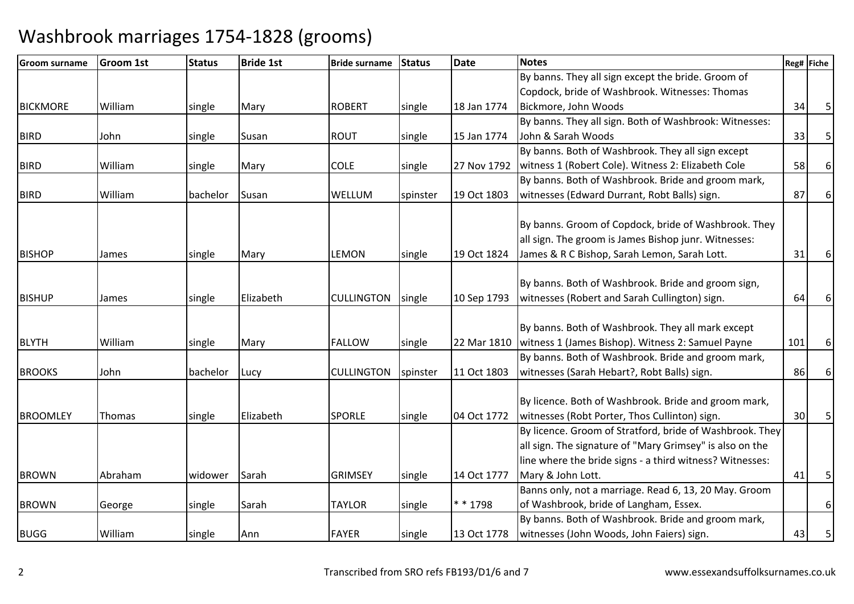| Groom surname   | <b>Groom 1st</b> | <b>Status</b> | <b>Bride 1st</b> | <b>Bride surname</b> | <b>Status</b> | <b>Date</b> | <b>Notes</b>                                             |     | Reg# Fiche |
|-----------------|------------------|---------------|------------------|----------------------|---------------|-------------|----------------------------------------------------------|-----|------------|
|                 |                  |               |                  |                      |               |             | By banns. They all sign except the bride. Groom of       |     |            |
|                 |                  |               |                  |                      |               |             | Copdock, bride of Washbrook. Witnesses: Thomas           |     |            |
| <b>BICKMORE</b> | William          | single        | Mary             | <b>ROBERT</b>        | single        | 18 Jan 1774 | Bickmore, John Woods                                     | 34  | 5          |
|                 |                  |               |                  |                      |               |             | By banns. They all sign. Both of Washbrook: Witnesses:   |     |            |
| <b>BIRD</b>     | John             | single        | Susan            | <b>ROUT</b>          | single        | 15 Jan 1774 | John & Sarah Woods                                       | 33  | 5          |
|                 |                  |               |                  |                      |               |             | By banns. Both of Washbrook. They all sign except        |     |            |
| <b>BIRD</b>     | William          | single        | Mary             | <b>COLE</b>          | single        | 27 Nov 1792 | witness 1 (Robert Cole). Witness 2: Elizabeth Cole       | 58  | 6          |
|                 |                  |               |                  |                      |               |             | By banns. Both of Washbrook. Bride and groom mark,       |     |            |
| <b>BIRD</b>     | William          | bachelor      | Susan            | WELLUM               | spinster      | 19 Oct 1803 | witnesses (Edward Durrant, Robt Balls) sign.             | 87  | 6          |
|                 |                  |               |                  |                      |               |             |                                                          |     |            |
|                 |                  |               |                  |                      |               |             | By banns. Groom of Copdock, bride of Washbrook. They     |     |            |
|                 |                  |               |                  |                      |               |             | all sign. The groom is James Bishop junr. Witnesses:     |     |            |
| <b>BISHOP</b>   | James            | single        | Mary             | <b>LEMON</b>         | single        | 19 Oct 1824 | James & R C Bishop, Sarah Lemon, Sarah Lott.             | 31  | 6          |
|                 |                  |               |                  |                      |               |             |                                                          |     |            |
|                 |                  |               |                  |                      |               |             | By banns. Both of Washbrook. Bride and groom sign,       |     |            |
| <b>BISHUP</b>   | James            | single        | Elizabeth        | <b>CULLINGTON</b>    | single        | 10 Sep 1793 | witnesses (Robert and Sarah Cullington) sign.            | 64  | 6          |
|                 |                  |               |                  |                      |               |             |                                                          |     |            |
|                 |                  |               |                  |                      |               |             | By banns. Both of Washbrook. They all mark except        |     |            |
| <b>BLYTH</b>    | William          | single        | Mary             | <b>FALLOW</b>        | single        | 22 Mar 1810 | witness 1 (James Bishop). Witness 2: Samuel Payne        | 101 | 6          |
|                 |                  |               |                  |                      |               |             | By banns. Both of Washbrook. Bride and groom mark,       |     |            |
| <b>BROOKS</b>   | John             | bachelor      | Lucy             | <b>CULLINGTON</b>    | spinster      | 11 Oct 1803 | witnesses (Sarah Hebart?, Robt Balls) sign.              | 86  | 6          |
|                 |                  |               |                  |                      |               |             |                                                          |     |            |
|                 |                  |               |                  |                      |               |             | By licence. Both of Washbrook. Bride and groom mark,     |     |            |
| <b>BROOMLEY</b> | Thomas           | single        | Elizabeth        | <b>SPORLE</b>        | single        | 04 Oct 1772 | witnesses (Robt Porter, Thos Cullinton) sign.            | 30  | 5          |
|                 |                  |               |                  |                      |               |             | By licence. Groom of Stratford, bride of Washbrook. They |     |            |
|                 |                  |               |                  |                      |               |             | all sign. The signature of "Mary Grimsey" is also on the |     |            |
|                 |                  |               |                  |                      |               |             | line where the bride signs - a third witness? Witnesses: |     |            |
| <b>BROWN</b>    | Abraham          | widower       | Sarah            | <b>GRIMSEY</b>       | single        | 14 Oct 1777 | Mary & John Lott.                                        | 41  | 5          |
|                 |                  |               |                  |                      |               |             | Banns only, not a marriage. Read 6, 13, 20 May. Groom    |     |            |
| <b>BROWN</b>    | George           | single        | Sarah            | <b>TAYLOR</b>        | single        | * * 1798    | of Washbrook, bride of Langham, Essex.                   |     | 6          |
|                 |                  |               |                  |                      |               |             | By banns. Both of Washbrook. Bride and groom mark,       |     |            |
| <b>BUGG</b>     | William          | single        | Ann              | <b>FAYER</b>         | single        | 13 Oct 1778 | witnesses (John Woods, John Faiers) sign.                | 43  | 5          |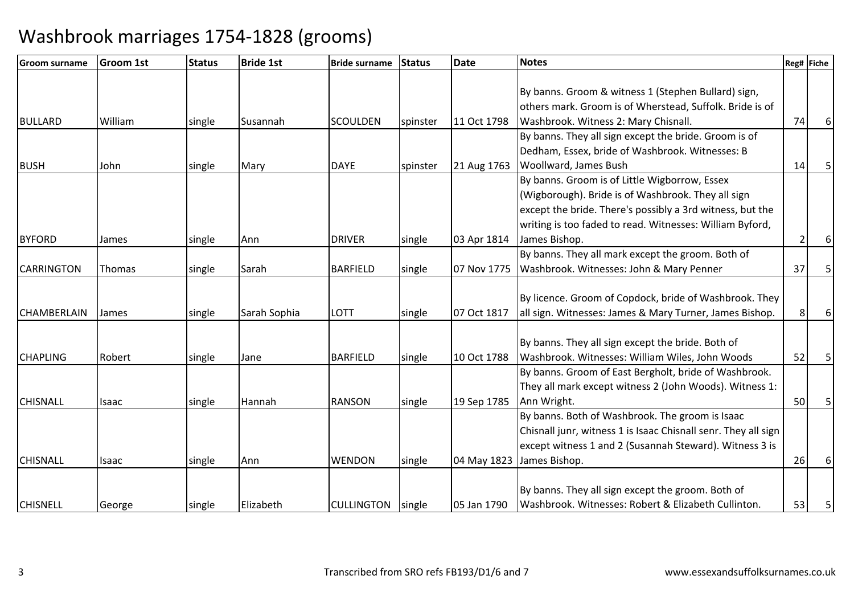| Groom surname      | <b>Groom 1st</b> | <b>Status</b> | <b>Bride 1st</b> | <b>Bride surname</b> | <b>Status</b> | Date        | <b>Notes</b>                                                   |    | Reg# Fiche |
|--------------------|------------------|---------------|------------------|----------------------|---------------|-------------|----------------------------------------------------------------|----|------------|
|                    |                  |               |                  |                      |               |             |                                                                |    |            |
|                    |                  |               |                  |                      |               |             | By banns. Groom & witness 1 (Stephen Bullard) sign,            |    |            |
|                    |                  |               |                  |                      |               |             | others mark. Groom is of Wherstead, Suffolk. Bride is of       |    |            |
| <b>BULLARD</b>     | William          | single        | Susannah         | <b>SCOULDEN</b>      | spinster      | 11 Oct 1798 | Washbrook. Witness 2: Mary Chisnall.                           | 74 |            |
|                    |                  |               |                  |                      |               |             | By banns. They all sign except the bride. Groom is of          |    |            |
|                    |                  |               |                  |                      |               |             | Dedham, Essex, bride of Washbrook. Witnesses: B                |    |            |
| <b>BUSH</b>        | John             | single        | Mary             | <b>DAYE</b>          | spinster      | 21 Aug 1763 | Woollward, James Bush                                          | 14 |            |
|                    |                  |               |                  |                      |               |             | By banns. Groom is of Little Wigborrow, Essex                  |    |            |
|                    |                  |               |                  |                      |               |             | (Wigborough). Bride is of Washbrook. They all sign             |    |            |
|                    |                  |               |                  |                      |               |             | except the bride. There's possibly a 3rd witness, but the      |    |            |
|                    |                  |               |                  |                      |               |             | writing is too faded to read. Witnesses: William Byford,       |    |            |
| <b>BYFORD</b>      | James            | single        | Ann              | <b>DRIVER</b>        | single        | 03 Apr 1814 | James Bishop.                                                  |    |            |
|                    |                  |               |                  |                      |               |             | By banns. They all mark except the groom. Both of              |    |            |
| <b>CARRINGTON</b>  | <b>Thomas</b>    | single        | Sarah            | <b>BARFIELD</b>      | single        | 07 Nov 1775 | Washbrook. Witnesses: John & Mary Penner                       | 37 | 5          |
|                    |                  |               |                  |                      |               |             |                                                                |    |            |
|                    |                  |               |                  |                      |               |             | By licence. Groom of Copdock, bride of Washbrook. They         |    |            |
| <b>CHAMBERLAIN</b> | James            | single        | Sarah Sophia     | <b>LOTT</b>          | single        | 07 Oct 1817 | all sign. Witnesses: James & Mary Turner, James Bishop.        |    |            |
|                    |                  |               |                  |                      |               |             |                                                                |    |            |
|                    |                  |               |                  |                      |               |             | By banns. They all sign except the bride. Both of              |    |            |
| <b>CHAPLING</b>    | Robert           | single        | Jane             | <b>BARFIELD</b>      | single        | 10 Oct 1788 | Washbrook. Witnesses: William Wiles, John Woods                | 52 |            |
|                    |                  |               |                  |                      |               |             | By banns. Groom of East Bergholt, bride of Washbrook.          |    |            |
|                    |                  |               |                  |                      |               |             | They all mark except witness 2 (John Woods). Witness 1:        |    |            |
| <b>CHISNALL</b>    | Isaac            | single        | Hannah           | <b>RANSON</b>        | single        | 19 Sep 1785 | Ann Wright.                                                    | 50 | 5          |
|                    |                  |               |                  |                      |               |             | By banns. Both of Washbrook. The groom is Isaac                |    |            |
|                    |                  |               |                  |                      |               |             | Chisnall junr, witness 1 is Isaac Chisnall senr. They all sign |    |            |
|                    |                  |               |                  |                      |               |             | except witness 1 and 2 (Susannah Steward). Witness 3 is        |    |            |
| <b>CHISNALL</b>    | Isaac            | single        | Ann              | <b>WENDON</b>        | single        | 04 May 1823 | James Bishop.                                                  | 26 |            |
|                    |                  |               |                  |                      |               |             |                                                                |    |            |
|                    |                  |               |                  |                      |               |             | By banns. They all sign except the groom. Both of              |    |            |
| <b>CHISNELL</b>    | George           | single        | Elizabeth        | CULLINGTON   single  |               | 05 Jan 1790 | Washbrook. Witnesses: Robert & Elizabeth Cullinton.            | 53 |            |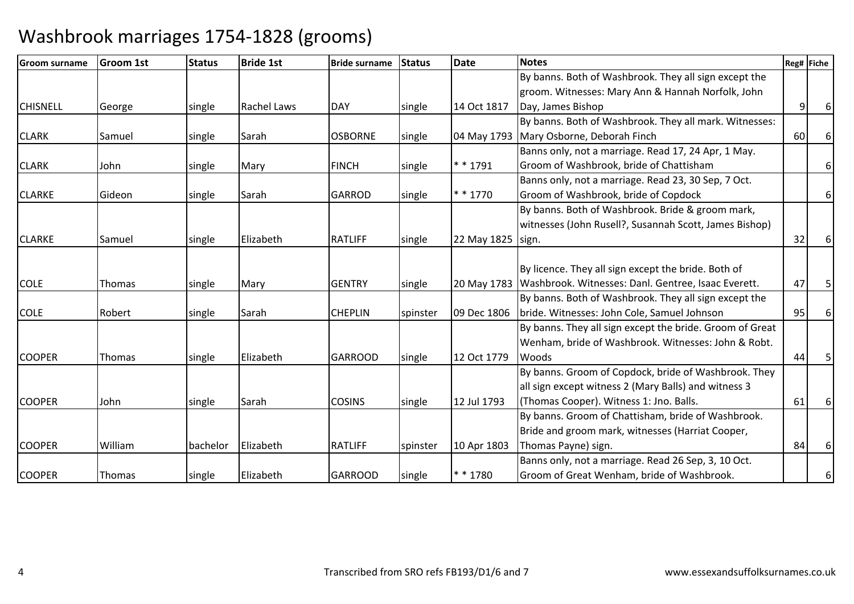| <b>IGroom surname</b> | <b>Groom 1st</b> | <b>Status</b> | <b>Bride 1st</b>   | <b>Bride surname</b> | <b>Status</b> | <b>Date</b>         | <b>Notes</b>                                                      | Reg# Fiche |   |
|-----------------------|------------------|---------------|--------------------|----------------------|---------------|---------------------|-------------------------------------------------------------------|------------|---|
|                       |                  |               |                    |                      |               |                     | By banns. Both of Washbrook. They all sign except the             |            |   |
|                       |                  |               |                    |                      |               |                     | groom. Witnesses: Mary Ann & Hannah Norfolk, John                 |            |   |
| <b>CHISNELL</b>       | George           | single        | <b>Rachel Laws</b> | <b>DAY</b>           | single        | 14 Oct 1817         | Day, James Bishop                                                 | 9          |   |
|                       |                  |               |                    |                      |               |                     | By banns. Both of Washbrook. They all mark. Witnesses:            |            |   |
| <b>CLARK</b>          | Samuel           | single        | Sarah              | <b>OSBORNE</b>       | single        |                     | 04 May 1793 Mary Osborne, Deborah Finch                           | 60         | 6 |
|                       |                  |               |                    |                      |               |                     | Banns only, not a marriage. Read 17, 24 Apr, 1 May.               |            |   |
| <b>CLARK</b>          | John             | single        | Mary               | <b>FINCH</b>         | single        | $* * 1791$          | Groom of Washbrook, bride of Chattisham                           |            | 6 |
|                       |                  |               |                    |                      |               |                     | Banns only, not a marriage. Read 23, 30 Sep, 7 Oct.               |            |   |
| <b>CLARKE</b>         | Gideon           | single        | Sarah              | <b>GARROD</b>        | single        | * * 1770            | Groom of Washbrook, bride of Copdock                              |            | 6 |
|                       |                  |               |                    |                      |               |                     | By banns. Both of Washbrook. Bride & groom mark,                  |            |   |
|                       |                  |               |                    |                      |               |                     | witnesses (John Rusell?, Susannah Scott, James Bishop)            |            |   |
| <b>CLARKE</b>         | Samuel           | single        | Elizabeth          | <b>RATLIFF</b>       | single        | 22 May 1825   sign. |                                                                   | 32         | 6 |
|                       |                  |               |                    |                      |               |                     |                                                                   |            |   |
|                       |                  |               |                    |                      |               |                     | By licence. They all sign except the bride. Both of               |            |   |
| <b>COLE</b>           | <b>Thomas</b>    | single        | Mary               | <b>GENTRY</b>        | single        |                     | 20 May 1783   Washbrook. Witnesses: Danl. Gentree, Isaac Everett. | 47         |   |
|                       |                  |               |                    |                      |               |                     | By banns. Both of Washbrook. They all sign except the             |            |   |
| <b>COLE</b>           | Robert           | single        | Sarah              | <b>CHEPLIN</b>       | spinster      | 09 Dec 1806         | bride. Witnesses: John Cole, Samuel Johnson                       | 95         | 6 |
|                       |                  |               |                    |                      |               |                     | By banns. They all sign except the bride. Groom of Great          |            |   |
|                       |                  |               |                    |                      |               |                     | Wenham, bride of Washbrook. Witnesses: John & Robt.               |            |   |
| <b>COOPER</b>         | <b>Thomas</b>    | single        | Elizabeth          | <b>GARROOD</b>       | single        | 12 Oct 1779         | Woods                                                             | 44         |   |
|                       |                  |               |                    |                      |               |                     | By banns. Groom of Copdock, bride of Washbrook. They              |            |   |
|                       |                  |               |                    |                      |               |                     | all sign except witness 2 (Mary Balls) and witness 3              |            |   |
| <b>COOPER</b>         | John             | single        | Sarah              | <b>COSINS</b>        | single        | 12 Jul 1793         | (Thomas Cooper). Witness 1: Jno. Balls.                           | 61         | 6 |
|                       |                  |               |                    |                      |               |                     | By banns. Groom of Chattisham, bride of Washbrook.                |            |   |
|                       |                  |               |                    |                      |               |                     | Bride and groom mark, witnesses (Harriat Cooper,                  |            |   |
| <b>COOPER</b>         | William          | bachelor      | Elizabeth          | <b>RATLIFF</b>       | spinster      | 10 Apr 1803         | Thomas Payne) sign.                                               | 84         | 6 |
|                       |                  |               |                    |                      |               |                     | Banns only, not a marriage. Read 26 Sep, 3, 10 Oct.               |            |   |
| <b>COOPER</b>         | <b>Thomas</b>    | single        | Elizabeth          | <b>GARROOD</b>       | single        | ** 1780             | Groom of Great Wenham, bride of Washbrook.                        |            | 6 |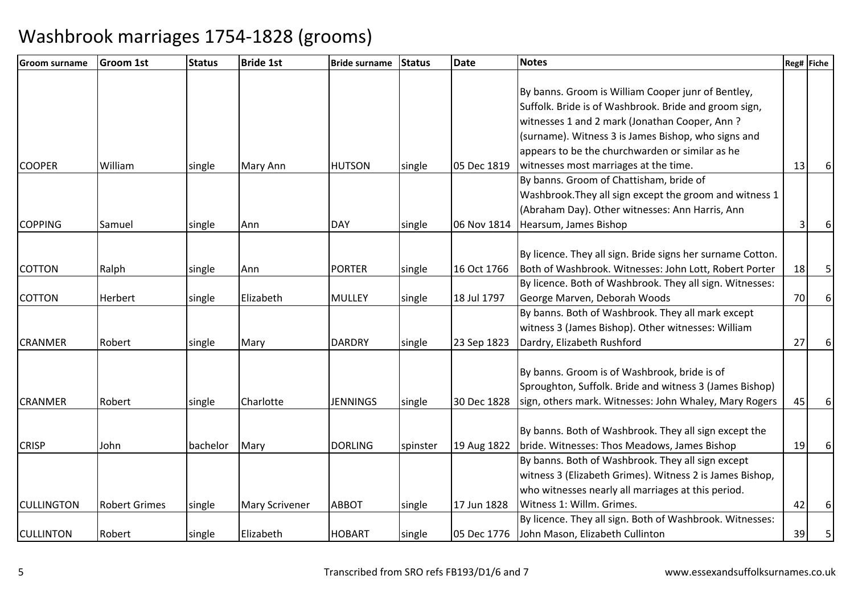| <b>Groom 1st</b> | <b>Status</b>                                                                         | <b>Bride 1st</b>                                           | <b>Bride surname</b>                                                         | <b>Status</b>                                                                                                         | <b>Date</b>                                                | <b>Notes</b>                                                                                          |                                                                                                                                                                                                                                                                                                                                                                                                                                                                                                                                                                                                                                                                                                                                                                                                                                                                                                                                            |                                                      |
|------------------|---------------------------------------------------------------------------------------|------------------------------------------------------------|------------------------------------------------------------------------------|-----------------------------------------------------------------------------------------------------------------------|------------------------------------------------------------|-------------------------------------------------------------------------------------------------------|--------------------------------------------------------------------------------------------------------------------------------------------------------------------------------------------------------------------------------------------------------------------------------------------------------------------------------------------------------------------------------------------------------------------------------------------------------------------------------------------------------------------------------------------------------------------------------------------------------------------------------------------------------------------------------------------------------------------------------------------------------------------------------------------------------------------------------------------------------------------------------------------------------------------------------------------|------------------------------------------------------|
|                  |                                                                                       |                                                            |                                                                              |                                                                                                                       |                                                            |                                                                                                       |                                                                                                                                                                                                                                                                                                                                                                                                                                                                                                                                                                                                                                                                                                                                                                                                                                                                                                                                            |                                                      |
|                  |                                                                                       |                                                            |                                                                              |                                                                                                                       |                                                            | By banns. Groom is William Cooper junr of Bentley,                                                    |                                                                                                                                                                                                                                                                                                                                                                                                                                                                                                                                                                                                                                                                                                                                                                                                                                                                                                                                            |                                                      |
|                  |                                                                                       |                                                            |                                                                              |                                                                                                                       |                                                            | Suffolk. Bride is of Washbrook. Bride and groom sign,                                                 |                                                                                                                                                                                                                                                                                                                                                                                                                                                                                                                                                                                                                                                                                                                                                                                                                                                                                                                                            |                                                      |
|                  |                                                                                       |                                                            |                                                                              |                                                                                                                       |                                                            | witnesses 1 and 2 mark (Jonathan Cooper, Ann?                                                         |                                                                                                                                                                                                                                                                                                                                                                                                                                                                                                                                                                                                                                                                                                                                                                                                                                                                                                                                            |                                                      |
|                  |                                                                                       |                                                            |                                                                              |                                                                                                                       |                                                            | (surname). Witness 3 is James Bishop, who signs and                                                   |                                                                                                                                                                                                                                                                                                                                                                                                                                                                                                                                                                                                                                                                                                                                                                                                                                                                                                                                            |                                                      |
|                  |                                                                                       |                                                            |                                                                              |                                                                                                                       |                                                            | appears to be the churchwarden or similar as he                                                       |                                                                                                                                                                                                                                                                                                                                                                                                                                                                                                                                                                                                                                                                                                                                                                                                                                                                                                                                            |                                                      |
| William          | single                                                                                | Mary Ann                                                   | <b>HUTSON</b>                                                                | single                                                                                                                | 05 Dec 1819                                                | witnesses most marriages at the time.                                                                 | 13                                                                                                                                                                                                                                                                                                                                                                                                                                                                                                                                                                                                                                                                                                                                                                                                                                                                                                                                         | 6                                                    |
|                  |                                                                                       |                                                            |                                                                              |                                                                                                                       |                                                            | By banns. Groom of Chattisham, bride of                                                               |                                                                                                                                                                                                                                                                                                                                                                                                                                                                                                                                                                                                                                                                                                                                                                                                                                                                                                                                            |                                                      |
|                  |                                                                                       |                                                            |                                                                              |                                                                                                                       |                                                            | Washbrook. They all sign except the groom and witness 1                                               |                                                                                                                                                                                                                                                                                                                                                                                                                                                                                                                                                                                                                                                                                                                                                                                                                                                                                                                                            |                                                      |
|                  |                                                                                       |                                                            |                                                                              |                                                                                                                       |                                                            | (Abraham Day). Other witnesses: Ann Harris, Ann                                                       |                                                                                                                                                                                                                                                                                                                                                                                                                                                                                                                                                                                                                                                                                                                                                                                                                                                                                                                                            |                                                      |
| Samuel           | single                                                                                | Ann                                                        | <b>DAY</b>                                                                   | single                                                                                                                | 06 Nov 1814                                                | Hearsum, James Bishop                                                                                 | $\overline{3}$                                                                                                                                                                                                                                                                                                                                                                                                                                                                                                                                                                                                                                                                                                                                                                                                                                                                                                                             | 6                                                    |
|                  |                                                                                       |                                                            |                                                                              |                                                                                                                       |                                                            |                                                                                                       |                                                                                                                                                                                                                                                                                                                                                                                                                                                                                                                                                                                                                                                                                                                                                                                                                                                                                                                                            |                                                      |
|                  |                                                                                       |                                                            |                                                                              |                                                                                                                       |                                                            |                                                                                                       |                                                                                                                                                                                                                                                                                                                                                                                                                                                                                                                                                                                                                                                                                                                                                                                                                                                                                                                                            |                                                      |
|                  |                                                                                       | Ann                                                        |                                                                              |                                                                                                                       |                                                            |                                                                                                       |                                                                                                                                                                                                                                                                                                                                                                                                                                                                                                                                                                                                                                                                                                                                                                                                                                                                                                                                            | 5                                                    |
|                  |                                                                                       |                                                            |                                                                              |                                                                                                                       |                                                            |                                                                                                       |                                                                                                                                                                                                                                                                                                                                                                                                                                                                                                                                                                                                                                                                                                                                                                                                                                                                                                                                            |                                                      |
|                  |                                                                                       |                                                            |                                                                              |                                                                                                                       |                                                            |                                                                                                       |                                                                                                                                                                                                                                                                                                                                                                                                                                                                                                                                                                                                                                                                                                                                                                                                                                                                                                                                            | 6                                                    |
|                  |                                                                                       |                                                            |                                                                              |                                                                                                                       |                                                            |                                                                                                       |                                                                                                                                                                                                                                                                                                                                                                                                                                                                                                                                                                                                                                                                                                                                                                                                                                                                                                                                            |                                                      |
|                  |                                                                                       |                                                            |                                                                              |                                                                                                                       |                                                            |                                                                                                       |                                                                                                                                                                                                                                                                                                                                                                                                                                                                                                                                                                                                                                                                                                                                                                                                                                                                                                                                            |                                                      |
|                  | single                                                                                |                                                            |                                                                              | single                                                                                                                |                                                            |                                                                                                       |                                                                                                                                                                                                                                                                                                                                                                                                                                                                                                                                                                                                                                                                                                                                                                                                                                                                                                                                            | 6                                                    |
|                  |                                                                                       |                                                            |                                                                              |                                                                                                                       |                                                            |                                                                                                       |                                                                                                                                                                                                                                                                                                                                                                                                                                                                                                                                                                                                                                                                                                                                                                                                                                                                                                                                            |                                                      |
|                  |                                                                                       |                                                            |                                                                              |                                                                                                                       |                                                            |                                                                                                       |                                                                                                                                                                                                                                                                                                                                                                                                                                                                                                                                                                                                                                                                                                                                                                                                                                                                                                                                            |                                                      |
|                  |                                                                                       |                                                            |                                                                              |                                                                                                                       |                                                            |                                                                                                       |                                                                                                                                                                                                                                                                                                                                                                                                                                                                                                                                                                                                                                                                                                                                                                                                                                                                                                                                            |                                                      |
|                  |                                                                                       |                                                            |                                                                              |                                                                                                                       |                                                            |                                                                                                       |                                                                                                                                                                                                                                                                                                                                                                                                                                                                                                                                                                                                                                                                                                                                                                                                                                                                                                                                            | $6 \mid$                                             |
|                  |                                                                                       |                                                            |                                                                              |                                                                                                                       |                                                            |                                                                                                       |                                                                                                                                                                                                                                                                                                                                                                                                                                                                                                                                                                                                                                                                                                                                                                                                                                                                                                                                            |                                                      |
|                  |                                                                                       |                                                            |                                                                              |                                                                                                                       |                                                            |                                                                                                       |                                                                                                                                                                                                                                                                                                                                                                                                                                                                                                                                                                                                                                                                                                                                                                                                                                                                                                                                            | 6                                                    |
|                  |                                                                                       |                                                            |                                                                              |                                                                                                                       |                                                            |                                                                                                       |                                                                                                                                                                                                                                                                                                                                                                                                                                                                                                                                                                                                                                                                                                                                                                                                                                                                                                                                            |                                                      |
|                  |                                                                                       |                                                            |                                                                              |                                                                                                                       |                                                            |                                                                                                       |                                                                                                                                                                                                                                                                                                                                                                                                                                                                                                                                                                                                                                                                                                                                                                                                                                                                                                                                            |                                                      |
|                  |                                                                                       |                                                            |                                                                              |                                                                                                                       |                                                            |                                                                                                       |                                                                                                                                                                                                                                                                                                                                                                                                                                                                                                                                                                                                                                                                                                                                                                                                                                                                                                                                            |                                                      |
|                  |                                                                                       |                                                            |                                                                              |                                                                                                                       |                                                            |                                                                                                       |                                                                                                                                                                                                                                                                                                                                                                                                                                                                                                                                                                                                                                                                                                                                                                                                                                                                                                                                            | $6 \mid$                                             |
|                  |                                                                                       |                                                            |                                                                              |                                                                                                                       |                                                            |                                                                                                       |                                                                                                                                                                                                                                                                                                                                                                                                                                                                                                                                                                                                                                                                                                                                                                                                                                                                                                                                            |                                                      |
|                  |                                                                                       |                                                            |                                                                              |                                                                                                                       |                                                            |                                                                                                       |                                                                                                                                                                                                                                                                                                                                                                                                                                                                                                                                                                                                                                                                                                                                                                                                                                                                                                                                            | 5                                                    |
|                  | Ralph<br><b>Herbert</b><br>Robert<br>Robert<br>John<br><b>Robert Grimes</b><br>Robert | single<br>single<br>single<br>bachelor<br>single<br>single | Elizabeth<br>Mary<br>Charlotte<br>Mary<br><b>Mary Scrivener</b><br>Elizabeth | <b>PORTER</b><br><b>MULLEY</b><br><b>DARDRY</b><br><b>JENNINGS</b><br><b>DORLING</b><br><b>ABBOT</b><br><b>HOBART</b> | single<br>single<br>single<br>spinster<br>single<br>single | 16 Oct 1766<br>18 Jul 1797<br>23 Sep 1823<br>30 Dec 1828<br>19 Aug 1822<br>17 Jun 1828<br>05 Dec 1776 | By licence. They all sign. Bride signs her surname Cotton.<br>Both of Washbrook. Witnesses: John Lott, Robert Porter<br>By licence. Both of Washbrook. They all sign. Witnesses:<br>George Marven, Deborah Woods<br>By banns. Both of Washbrook. They all mark except<br>witness 3 (James Bishop). Other witnesses: William<br>Dardry, Elizabeth Rushford<br>By banns. Groom is of Washbrook, bride is of<br>Sproughton, Suffolk. Bride and witness 3 (James Bishop)<br>sign, others mark. Witnesses: John Whaley, Mary Rogers<br>By banns. Both of Washbrook. They all sign except the<br>bride. Witnesses: Thos Meadows, James Bishop<br>By banns. Both of Washbrook. They all sign except<br>witness 3 (Elizabeth Grimes). Witness 2 is James Bishop,<br>who witnesses nearly all marriages at this period.<br>Witness 1: Willm. Grimes.<br>By licence. They all sign. Both of Washbrook. Witnesses:<br>John Mason, Elizabeth Cullinton | Reg# Fiche<br>18<br>70<br>27<br>45<br>19<br>42<br>39 |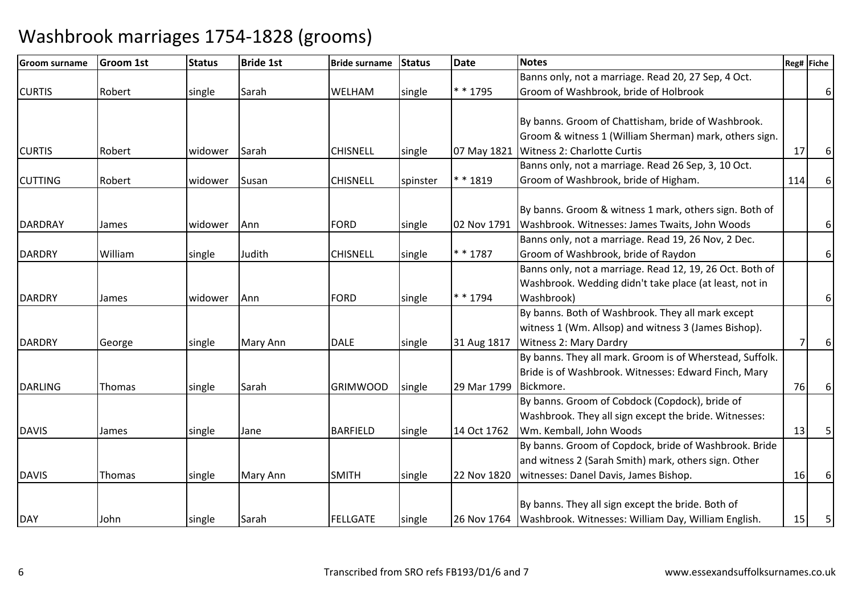| <b>Groom surname</b> | <b>Groom 1st</b> | <b>Status</b> | <b>Bride 1st</b> | <b>Bride surname</b> | Status   | Date        | <b>Notes</b>                                                         |     | Reg# Fiche     |
|----------------------|------------------|---------------|------------------|----------------------|----------|-------------|----------------------------------------------------------------------|-----|----------------|
|                      |                  |               |                  |                      |          |             | Banns only, not a marriage. Read 20, 27 Sep, 4 Oct.                  |     |                |
| <b>CURTIS</b>        | Robert           | single        | Sarah            | WELHAM               | single   | * * 1795    | Groom of Washbrook, bride of Holbrook                                |     | 6              |
|                      |                  |               |                  |                      |          |             |                                                                      |     |                |
|                      |                  |               |                  |                      |          |             | By banns. Groom of Chattisham, bride of Washbrook.                   |     |                |
|                      |                  |               |                  |                      |          |             | Groom & witness 1 (William Sherman) mark, others sign.               |     |                |
| <b>CURTIS</b>        | Robert           | widower       | Sarah            | <b>CHISNELL</b>      | single   | 07 May 1821 | <b>Witness 2: Charlotte Curtis</b>                                   | 17  | 6              |
|                      |                  |               |                  |                      |          |             | Banns only, not a marriage. Read 26 Sep, 3, 10 Oct.                  |     |                |
| <b>CUTTING</b>       | Robert           | widower       | Susan            | <b>CHISNELL</b>      | spinster | $* * 1819$  | Groom of Washbrook, bride of Higham.                                 | 114 | 6              |
|                      |                  |               |                  |                      |          |             | By banns. Groom & witness 1 mark, others sign. Both of               |     |                |
| <b>DARDRAY</b>       |                  | widower       | Ann              | <b>FORD</b>          |          | 02 Nov 1791 | Washbrook. Witnesses: James Twaits, John Woods                       |     |                |
|                      | James            |               |                  |                      | single   |             |                                                                      |     | 6              |
| <b>DARDRY</b>        |                  |               | Judith           | <b>CHISNELL</b>      |          | $* * 1787$  | Banns only, not a marriage. Read 19, 26 Nov, 2 Dec.                  |     | 6 <sup>1</sup> |
|                      | William          | single        |                  |                      | single   |             | Groom of Washbrook, bride of Raydon                                  |     |                |
|                      |                  |               |                  |                      |          |             | Banns only, not a marriage. Read 12, 19, 26 Oct. Both of             |     |                |
|                      |                  |               |                  | <b>FORD</b>          |          | * * 1794    | Washbrook. Wedding didn't take place (at least, not in<br>Washbrook) |     |                |
| <b>DARDRY</b>        | James            | widower       | Ann              |                      | single   |             | By banns. Both of Washbrook. They all mark except                    |     | 6 <sup>1</sup> |
|                      |                  |               |                  |                      |          |             |                                                                      |     |                |
|                      |                  |               |                  | <b>DALE</b>          |          |             | witness 1 (Wm. Allsop) and witness 3 (James Bishop).                 |     |                |
| <b>DARDRY</b>        | George           | single        | Mary Ann         |                      | single   | 31 Aug 1817 | <b>Witness 2: Mary Dardry</b>                                        |     | 6              |
|                      |                  |               |                  |                      |          |             | By banns. They all mark. Groom is of Wherstead, Suffolk.             |     |                |
|                      |                  |               |                  |                      |          |             | Bride is of Washbrook. Witnesses: Edward Finch, Mary                 |     |                |
| <b>DARLING</b>       | Thomas           | single        | Sarah            | <b>GRIMWOOD</b>      | single   | 29 Mar 1799 | Bickmore.                                                            | 76  | 6              |
|                      |                  |               |                  |                      |          |             | By banns. Groom of Cobdock (Copdock), bride of                       |     |                |
|                      |                  |               |                  |                      |          |             | Washbrook. They all sign except the bride. Witnesses:                |     |                |
| <b>DAVIS</b>         | James            | single        | Jane             | <b>BARFIELD</b>      | single   | 14 Oct 1762 | Wm. Kemball, John Woods                                              | 13  | 5              |
|                      |                  |               |                  |                      |          |             | By banns. Groom of Copdock, bride of Washbrook. Bride                |     |                |
|                      |                  |               |                  |                      |          |             | and witness 2 (Sarah Smith) mark, others sign. Other                 |     |                |
| <b>DAVIS</b>         | Thomas           | single        | Mary Ann         | <b>SMITH</b>         | single   | 22 Nov 1820 | witnesses: Danel Davis, James Bishop.                                | 16  | 6              |
|                      |                  |               |                  |                      |          |             |                                                                      |     |                |
|                      |                  |               |                  |                      |          |             | By banns. They all sign except the bride. Both of                    |     |                |
| <b>DAY</b>           | John             | single        | Sarah            | <b>FELLGATE</b>      | single   |             | 26 Nov 1764   Washbrook. Witnesses: William Day, William English.    | 15  | 5              |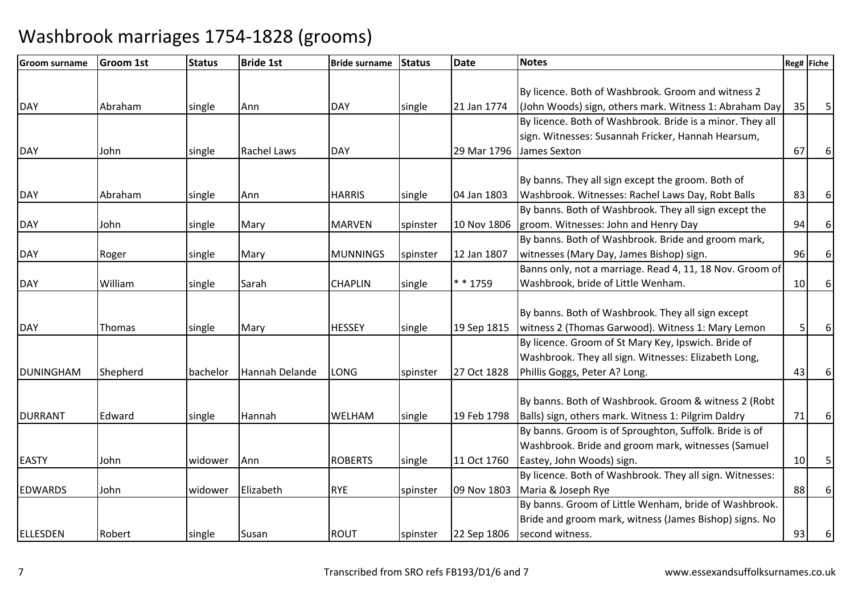| Groom surname    | <b>Groom 1st</b> | <b>Status</b> | <b>Bride 1st</b>   | <b>Bride surname</b> | <b>Status</b> | <b>Date</b> | <b>Notes</b>                                              |    | Reg# Fiche |
|------------------|------------------|---------------|--------------------|----------------------|---------------|-------------|-----------------------------------------------------------|----|------------|
|                  |                  |               |                    |                      |               |             |                                                           |    |            |
|                  |                  |               |                    |                      |               |             | By licence. Both of Washbrook. Groom and witness 2        |    |            |
| <b>DAY</b>       | Abraham          | single        | Ann                | <b>DAY</b>           | single        | 21 Jan 1774 | (John Woods) sign, others mark. Witness 1: Abraham Day    | 35 | 5          |
|                  |                  |               |                    |                      |               |             | By licence. Both of Washbrook. Bride is a minor. They all |    |            |
|                  |                  |               |                    |                      |               |             | sign. Witnesses: Susannah Fricker, Hannah Hearsum,        |    |            |
| <b>DAY</b>       | John             | single        | <b>Rachel Laws</b> | <b>DAY</b>           |               | 29 Mar 1796 | James Sexton                                              | 67 | 6          |
|                  |                  |               |                    |                      |               |             |                                                           |    |            |
|                  |                  |               |                    |                      |               |             | By banns. They all sign except the groom. Both of         |    |            |
| <b>DAY</b>       | Abraham          | single        | Ann                | <b>HARRIS</b>        | single        | 04 Jan 1803 | Washbrook. Witnesses: Rachel Laws Day, Robt Balls         | 83 | 6          |
|                  |                  |               |                    |                      |               |             | By banns. Both of Washbrook. They all sign except the     |    |            |
| <b>DAY</b>       | John             | single        | Mary               | <b>MARVEN</b>        | spinster      | 10 Nov 1806 | groom. Witnesses: John and Henry Day                      | 94 | 6          |
|                  |                  |               |                    |                      |               |             | By banns. Both of Washbrook. Bride and groom mark,        |    |            |
| <b>DAY</b>       | Roger            | single        | Mary               | <b>MUNNINGS</b>      | spinster      | 12 Jan 1807 | witnesses (Mary Day, James Bishop) sign.                  | 96 | 6          |
|                  |                  |               |                    |                      |               |             | Banns only, not a marriage. Read 4, 11, 18 Nov. Groom of  |    |            |
| <b>DAY</b>       | William          | single        | Sarah              | <b>CHAPLIN</b>       | single        | * * 1759    | Washbrook, bride of Little Wenham.                        | 10 |            |
|                  |                  |               |                    |                      |               |             |                                                           |    |            |
|                  |                  |               |                    |                      |               |             | By banns. Both of Washbrook. They all sign except         |    |            |
| <b>DAY</b>       | Thomas           | single        | Mary               | <b>HESSEY</b>        | single        | 19 Sep 1815 | witness 2 (Thomas Garwood). Witness 1: Mary Lemon         | 5  | 6          |
|                  |                  |               |                    |                      |               |             | By licence. Groom of St Mary Key, Ipswich. Bride of       |    |            |
|                  |                  |               |                    |                      |               |             | Washbrook. They all sign. Witnesses: Elizabeth Long,      |    |            |
| <b>DUNINGHAM</b> | Shepherd         | bachelor      | Hannah Delande     | LONG                 | spinster      | 27 Oct 1828 | Phillis Goggs, Peter A? Long.                             | 43 | 6          |
|                  |                  |               |                    |                      |               |             |                                                           |    |            |
|                  |                  |               |                    |                      |               |             | By banns. Both of Washbrook. Groom & witness 2 (Robt      |    |            |
| <b>DURRANT</b>   | Edward           | single        | Hannah             | WELHAM               | single        | 19 Feb 1798 | Balls) sign, others mark. Witness 1: Pilgrim Daldry       | 71 | 6          |
|                  |                  |               |                    |                      |               |             | By banns. Groom is of Sproughton, Suffolk. Bride is of    |    |            |
|                  |                  |               |                    |                      |               |             | Washbrook. Bride and groom mark, witnesses (Samuel        |    |            |
| <b>EASTY</b>     | John             | widower       | Ann                | <b>ROBERTS</b>       | single        | 11 Oct 1760 | Eastey, John Woods) sign.                                 | 10 |            |
|                  |                  |               |                    |                      |               |             | By licence. Both of Washbrook. They all sign. Witnesses:  |    |            |
| <b>EDWARDS</b>   | John             | widower       | Elizabeth          | <b>RYE</b>           | spinster      | 09 Nov 1803 | Maria & Joseph Rye                                        | 88 | 6          |
|                  |                  |               |                    |                      |               |             | By banns. Groom of Little Wenham, bride of Washbrook.     |    |            |
|                  |                  |               |                    |                      |               |             | Bride and groom mark, witness (James Bishop) signs. No    |    |            |
| ELLESDEN         | Robert           | single        | Susan              | <b>ROUT</b>          | spinster      | 22 Sep 1806 | second witness.                                           | 93 | 6          |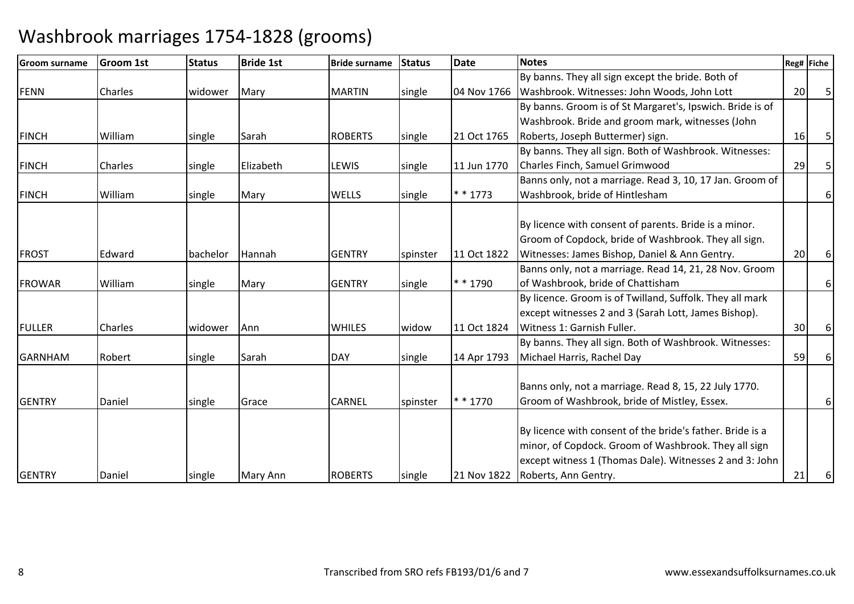| lGroom surname | <b>Groom 1st</b> | <b>Status</b> | <b>Bride 1st</b> | <b>Bride surname</b> | <b>Status</b> | <b>Date</b> | <b>Notes</b>                                                                                                                                                                                         |                 | Reg# Fiche |
|----------------|------------------|---------------|------------------|----------------------|---------------|-------------|------------------------------------------------------------------------------------------------------------------------------------------------------------------------------------------------------|-----------------|------------|
|                |                  |               |                  |                      |               |             | By banns. They all sign except the bride. Both of                                                                                                                                                    |                 |            |
| <b>FENN</b>    | Charles          | widower       | Mary             | <b>MARTIN</b>        | single        | 04 Nov 1766 | Washbrook. Witnesses: John Woods, John Lott                                                                                                                                                          | 20 <sup>1</sup> | 5          |
|                |                  |               |                  |                      |               |             | By banns. Groom is of St Margaret's, Ipswich. Bride is of                                                                                                                                            |                 |            |
|                |                  |               |                  |                      |               |             | Washbrook. Bride and groom mark, witnesses (John                                                                                                                                                     |                 |            |
| <b>FINCH</b>   | William          | single        | Sarah            | <b>ROBERTS</b>       | single        | 21 Oct 1765 | Roberts, Joseph Buttermer) sign.                                                                                                                                                                     | 16              |            |
|                |                  |               |                  |                      |               |             | By banns. They all sign. Both of Washbrook. Witnesses:                                                                                                                                               |                 |            |
| <b>FINCH</b>   | Charles          | single        | Elizabeth        | LEWIS                | single        | 11 Jun 1770 | Charles Finch, Samuel Grimwood                                                                                                                                                                       | 29              | 5          |
|                |                  |               |                  |                      |               |             | Banns only, not a marriage. Read 3, 10, 17 Jan. Groom of                                                                                                                                             |                 |            |
| <b>FINCH</b>   | William          | single        | Mary             | <b>WELLS</b>         | single        | $* * 1773$  | Washbrook, bride of Hintlesham                                                                                                                                                                       |                 | 6          |
| <b>FROST</b>   | Edward           | bachelor      | Hannah           | <b>GENTRY</b>        | spinster      | 11 Oct 1822 | By licence with consent of parents. Bride is a minor.<br>Groom of Copdock, bride of Washbrook. They all sign.<br>Witnesses: James Bishop, Daniel & Ann Gentry.                                       | 20              | 6          |
| <b>FROWAR</b>  | William          | single        | Mary             | <b>GENTRY</b>        | single        | $* * 1790$  | Banns only, not a marriage. Read 14, 21, 28 Nov. Groom<br>of Washbrook, bride of Chattisham                                                                                                          |                 | 6          |
| <b>FULLER</b>  | Charles          | widower       | Ann              | <b>WHILES</b>        | widow         | 11 Oct 1824 | By licence. Groom is of Twilland, Suffolk. They all mark<br>except witnesses 2 and 3 (Sarah Lott, James Bishop).<br>Witness 1: Garnish Fuller.                                                       | 30              | 6          |
|                |                  |               |                  |                      |               |             | By banns. They all sign. Both of Washbrook. Witnesses:                                                                                                                                               |                 |            |
| <b>GARNHAM</b> | Robert           | single        | Sarah            | <b>DAY</b>           | single        | 14 Apr 1793 | Michael Harris, Rachel Day                                                                                                                                                                           | 59              | 6          |
| <b>GENTRY</b>  | Daniel           | single        | Grace            | <b>CARNEL</b>        | spinster      | $* * 1770$  | Banns only, not a marriage. Read 8, 15, 22 July 1770.<br>Groom of Washbrook, bride of Mistley, Essex.                                                                                                |                 | 6          |
| <b>GENTRY</b>  | Daniel           | single        | Mary Ann         | <b>ROBERTS</b>       | single        | 21 Nov 1822 | By licence with consent of the bride's father. Bride is a<br>minor, of Copdock. Groom of Washbrook. They all sign<br>except witness 1 (Thomas Dale). Witnesses 2 and 3: John<br>Roberts, Ann Gentry. | 21              | 6          |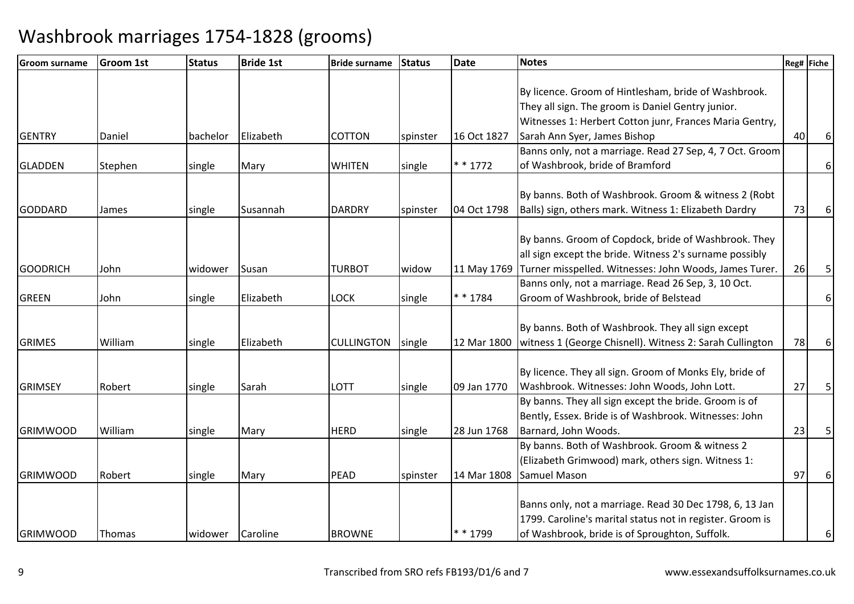| <b>Groom surname</b> | <b>Groom 1st</b> | <b>Status</b> | <b>Bride 1st</b> | <b>Bride surname</b> | <b>Status</b> | <b>Date</b> | <b>Notes</b>                                              |    | Reg# Fiche |
|----------------------|------------------|---------------|------------------|----------------------|---------------|-------------|-----------------------------------------------------------|----|------------|
|                      |                  |               |                  |                      |               |             |                                                           |    |            |
|                      |                  |               |                  |                      |               |             | By licence. Groom of Hintlesham, bride of Washbrook.      |    |            |
|                      |                  |               |                  |                      |               |             | They all sign. The groom is Daniel Gentry junior.         |    |            |
|                      |                  |               |                  |                      |               |             | Witnesses 1: Herbert Cotton junr, Frances Maria Gentry,   |    |            |
| <b>GENTRY</b>        | Daniel           | bachelor      | Elizabeth        | <b>COTTON</b>        | spinster      | 16 Oct 1827 | Sarah Ann Syer, James Bishop                              | 40 | 6          |
|                      |                  |               |                  |                      |               |             | Banns only, not a marriage. Read 27 Sep, 4, 7 Oct. Groom  |    |            |
| <b>GLADDEN</b>       | Stephen          | single        | Mary             | <b>WHITEN</b>        | single        | $* * 1772$  | of Washbrook, bride of Bramford                           |    | $6 \mid$   |
|                      |                  |               |                  |                      |               |             |                                                           |    |            |
|                      |                  |               |                  |                      |               |             | By banns. Both of Washbrook. Groom & witness 2 (Robt      |    |            |
| <b>GODDARD</b>       | James            | single        | Susannah         | <b>DARDRY</b>        | spinster      | 04 Oct 1798 | Balls) sign, others mark. Witness 1: Elizabeth Dardry     | 73 | 6          |
|                      |                  |               |                  |                      |               |             |                                                           |    |            |
|                      |                  |               |                  |                      |               |             | By banns. Groom of Copdock, bride of Washbrook. They      |    |            |
|                      |                  |               |                  |                      |               |             | all sign except the bride. Witness 2's surname possibly   |    |            |
| <b>GOODRICH</b>      | John             | widower       | Susan            | <b>TURBOT</b>        | widow         | 11 May 1769 | Turner misspelled. Witnesses: John Woods, James Turer.    | 26 | 5          |
|                      |                  |               |                  |                      |               |             | Banns only, not a marriage. Read 26 Sep, 3, 10 Oct.       |    |            |
| <b>GREEN</b>         | John             | single        | Elizabeth        | <b>LOCK</b>          | single        | * * 1784    | Groom of Washbrook, bride of Belstead                     |    | $6 \mid$   |
|                      |                  |               |                  |                      |               |             |                                                           |    |            |
|                      |                  |               |                  |                      |               |             | By banns. Both of Washbrook. They all sign except         |    |            |
| <b>GRIMES</b>        | William          | single        | Elizabeth        | <b>CULLINGTON</b>    | single        | 12 Mar 1800 | witness 1 (George Chisnell). Witness 2: Sarah Cullington  | 78 | $6 \mid$   |
|                      |                  |               |                  |                      |               |             |                                                           |    |            |
|                      |                  |               |                  |                      |               |             | By licence. They all sign. Groom of Monks Ely, bride of   |    |            |
| <b>GRIMSEY</b>       | Robert           | single        | Sarah            | <b>LOTT</b>          | single        | 09 Jan 1770 | Washbrook. Witnesses: John Woods, John Lott.              | 27 | 5          |
|                      |                  |               |                  |                      |               |             | By banns. They all sign except the bride. Groom is of     |    |            |
|                      |                  |               |                  |                      |               |             | Bently, Essex. Bride is of Washbrook. Witnesses: John     |    |            |
| <b>GRIMWOOD</b>      | William          | single        | Mary             | <b>HERD</b>          | single        | 28 Jun 1768 | Barnard, John Woods.                                      | 23 | 5          |
|                      |                  |               |                  |                      |               |             | By banns. Both of Washbrook. Groom & witness 2            |    |            |
|                      |                  |               |                  |                      |               |             | (Elizabeth Grimwood) mark, others sign. Witness 1:        |    |            |
| <b>GRIMWOOD</b>      | Robert           | single        | Mary             | PEAD                 | spinster      | 14 Mar 1808 | Samuel Mason                                              | 97 | 6          |
|                      |                  |               |                  |                      |               |             |                                                           |    |            |
|                      |                  |               |                  |                      |               |             | Banns only, not a marriage. Read 30 Dec 1798, 6, 13 Jan   |    |            |
|                      |                  |               |                  |                      |               |             | 1799. Caroline's marital status not in register. Groom is |    |            |
| <b>GRIMWOOD</b>      | Thomas           | widower       | Caroline         | <b>BROWNE</b>        |               | * * 1799    | of Washbrook, bride is of Sproughton, Suffolk.            |    | $6 \mid$   |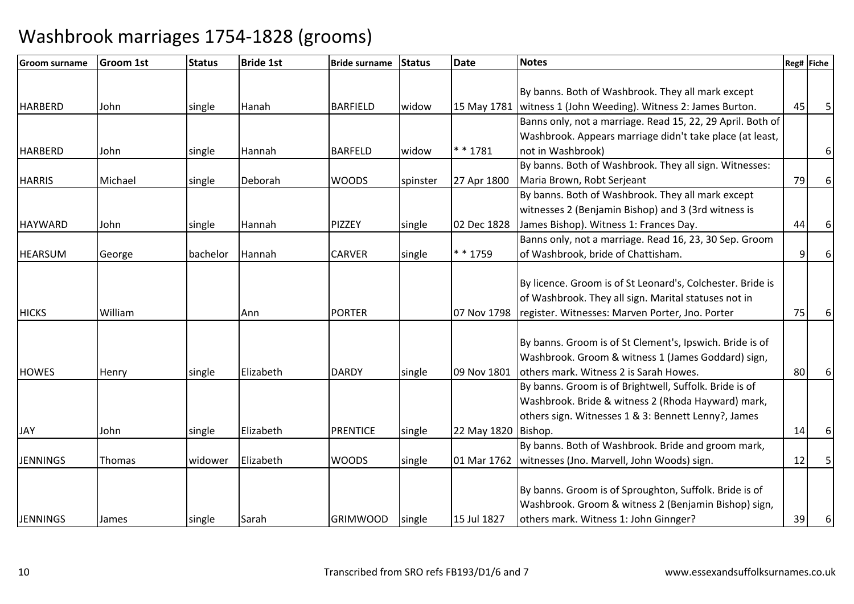| <b>Groom surname</b> | <b>Groom 1st</b> | <b>Status</b> | <b>Bride 1st</b> | <b>Bride surname</b> | <b>Status</b> | <b>Date</b>           | <b>Notes</b>                                               |    | Reg# Fiche |
|----------------------|------------------|---------------|------------------|----------------------|---------------|-----------------------|------------------------------------------------------------|----|------------|
|                      |                  |               |                  |                      |               |                       |                                                            |    |            |
|                      |                  |               |                  |                      |               |                       | By banns. Both of Washbrook. They all mark except          |    |            |
| <b>HARBERD</b>       | John             | single        | Hanah            | <b>BARFIELD</b>      | widow         | 15 May 1781           | witness 1 (John Weeding). Witness 2: James Burton.         | 45 | 5          |
|                      |                  |               |                  |                      |               |                       | Banns only, not a marriage. Read 15, 22, 29 April. Both of |    |            |
|                      |                  |               |                  |                      |               |                       | Washbrook. Appears marriage didn't take place (at least,   |    |            |
| <b>HARBERD</b>       | John             | single        | Hannah           | <b>BARFELD</b>       | widow         | * * 1781              | not in Washbrook)                                          |    | 6          |
|                      |                  |               |                  |                      |               |                       | By banns. Both of Washbrook. They all sign. Witnesses:     |    |            |
| <b>HARRIS</b>        | Michael          | single        | Deborah          | <b>WOODS</b>         | spinster      | 27 Apr 1800           | Maria Brown, Robt Serjeant                                 | 79 | 6          |
|                      |                  |               |                  |                      |               |                       | By banns. Both of Washbrook. They all mark except          |    |            |
|                      |                  |               |                  |                      |               |                       | witnesses 2 (Benjamin Bishop) and 3 (3rd witness is        |    |            |
| <b>HAYWARD</b>       | John             | single        | Hannah           | PIZZEY               | single        | 02 Dec 1828           | James Bishop). Witness 1: Frances Day.                     | 44 | 6          |
|                      |                  |               |                  |                      |               |                       | Banns only, not a marriage. Read 16, 23, 30 Sep. Groom     |    |            |
| <b>HEARSUM</b>       | George           | bachelor      | Hannah           | <b>CARVER</b>        | single        | * * 1759              | of Washbrook, bride of Chattisham.                         | 9  | 6          |
|                      |                  |               |                  |                      |               |                       |                                                            |    |            |
|                      |                  |               |                  |                      |               |                       | By licence. Groom is of St Leonard's, Colchester. Bride is |    |            |
|                      |                  |               |                  |                      |               |                       | of Washbrook. They all sign. Marital statuses not in       |    |            |
| <b>HICKS</b>         | William          |               | Ann              | <b>PORTER</b>        |               | 07 Nov 1798           | register. Witnesses: Marven Porter, Jno. Porter            | 75 | 6          |
|                      |                  |               |                  |                      |               |                       |                                                            |    |            |
|                      |                  |               |                  |                      |               |                       | By banns. Groom is of St Clement's, Ipswich. Bride is of   |    |            |
|                      |                  |               |                  |                      |               |                       | Washbrook. Groom & witness 1 (James Goddard) sign,         |    |            |
| <b>HOWES</b>         | Henry            | single        | Elizabeth        | <b>DARDY</b>         | single        | 09 Nov 1801           | others mark. Witness 2 is Sarah Howes.                     | 80 |            |
|                      |                  |               |                  |                      |               |                       | By banns. Groom is of Brightwell, Suffolk. Bride is of     |    |            |
|                      |                  |               |                  |                      |               |                       | Washbrook. Bride & witness 2 (Rhoda Hayward) mark,         |    |            |
|                      |                  |               |                  |                      |               |                       | others sign. Witnesses 1 & 3: Bennett Lenny?, James        |    |            |
| <b>JAY</b>           | John             | single        | Elizabeth        | <b>PRENTICE</b>      | single        | 22 May 1820   Bishop. |                                                            | 14 | 6          |
|                      |                  |               |                  |                      |               |                       | By banns. Both of Washbrook. Bride and groom mark,         |    |            |
| <b>JENNINGS</b>      | Thomas           | widower       | Elizabeth        | <b>WOODS</b>         | single        | 01 Mar 1762           | witnesses (Jno. Marvell, John Woods) sign.                 | 12 |            |
|                      |                  |               |                  |                      |               |                       |                                                            |    |            |
|                      |                  |               |                  |                      |               |                       | By banns. Groom is of Sproughton, Suffolk. Bride is of     |    |            |
|                      |                  |               |                  |                      |               |                       | Washbrook. Groom & witness 2 (Benjamin Bishop) sign,       |    |            |
| <b>JENNINGS</b>      | James            | single        | Sarah            | <b>GRIMWOOD</b>      | single        | 15 Jul 1827           | others mark. Witness 1: John Ginnger?                      | 39 | 6          |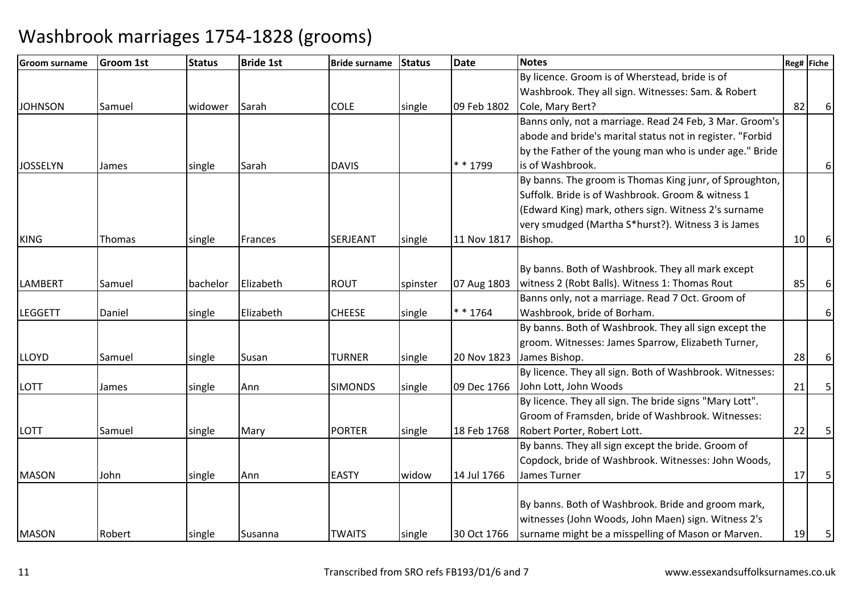| Groom surname   | <b>Groom 1st</b> | <b>Status</b> | <b>Bride 1st</b> | <b>Bride surname</b> | Status   | <b>Date</b> | <b>Notes</b>                                              |    | Reg# Fiche     |
|-----------------|------------------|---------------|------------------|----------------------|----------|-------------|-----------------------------------------------------------|----|----------------|
|                 |                  |               |                  |                      |          |             | By licence. Groom is of Wherstead, bride is of            |    |                |
|                 |                  |               |                  |                      |          |             | Washbrook. They all sign. Witnesses: Sam. & Robert        |    |                |
| <b>JOHNSON</b>  | Samuel           | widower       | Sarah            | <b>COLE</b>          | single   | 09 Feb 1802 | Cole, Mary Bert?                                          | 82 | 6              |
|                 |                  |               |                  |                      |          |             | Banns only, not a marriage. Read 24 Feb, 3 Mar. Groom's   |    |                |
|                 |                  |               |                  |                      |          |             | abode and bride's marital status not in register. "Forbid |    |                |
|                 |                  |               |                  |                      |          |             | by the Father of the young man who is under age." Bride   |    |                |
| <b>JOSSELYN</b> | James            | single        | Sarah            | <b>DAVIS</b>         |          | * * 1799    | is of Washbrook.                                          |    | 6              |
|                 |                  |               |                  |                      |          |             | By banns. The groom is Thomas King junr, of Sproughton,   |    |                |
|                 |                  |               |                  |                      |          |             | Suffolk. Bride is of Washbrook. Groom & witness 1         |    |                |
|                 |                  |               |                  |                      |          |             | (Edward King) mark, others sign. Witness 2's surname      |    |                |
|                 |                  |               |                  |                      |          |             | very smudged (Martha S*hurst?). Witness 3 is James        |    |                |
| <b>KING</b>     | Thomas           | single        | Frances          | SERJEANT             | single   | 11 Nov 1817 | Bishop.                                                   | 10 |                |
|                 |                  |               |                  |                      |          |             |                                                           |    |                |
|                 |                  |               |                  |                      |          |             | By banns. Both of Washbrook. They all mark except         |    |                |
| <b>LAMBERT</b>  | Samuel           | bachelor      | Elizabeth        | <b>ROUT</b>          | spinster | 07 Aug 1803 | witness 2 (Robt Balls). Witness 1: Thomas Rout            | 85 |                |
|                 |                  |               |                  |                      |          |             | Banns only, not a marriage. Read 7 Oct. Groom of          |    |                |
| <b>LEGGETT</b>  | Daniel           | single        | Elizabeth        | <b>CHEESE</b>        | single   | * * 1764    | Washbrook, bride of Borham.                               |    | 6 <sup>1</sup> |
|                 |                  |               |                  |                      |          |             | By banns. Both of Washbrook. They all sign except the     |    |                |
|                 |                  |               |                  |                      |          |             | groom. Witnesses: James Sparrow, Elizabeth Turner,        |    |                |
| <b>LLOYD</b>    | Samuel           | single        | Susan            | <b>TURNER</b>        | single   | 20 Nov 1823 | James Bishop.                                             | 28 | 6              |
|                 |                  |               |                  |                      |          |             | By licence. They all sign. Both of Washbrook. Witnesses:  |    |                |
| LOTT            | James            | single        | Ann              | <b>SIMONDS</b>       | single   | 09 Dec 1766 | John Lott, John Woods                                     | 21 | 5              |
|                 |                  |               |                  |                      |          |             | By licence. They all sign. The bride signs "Mary Lott".   |    |                |
|                 |                  |               |                  |                      |          |             | Groom of Framsden, bride of Washbrook. Witnesses:         |    |                |
| <b>LOTT</b>     | Samuel           | single        | Mary             | <b>PORTER</b>        | single   | 18 Feb 1768 | Robert Porter, Robert Lott.                               | 22 |                |
|                 |                  |               |                  |                      |          |             | By banns. They all sign except the bride. Groom of        |    |                |
|                 |                  |               |                  |                      |          |             | Copdock, bride of Washbrook. Witnesses: John Woods,       |    |                |
| <b>MASON</b>    | John             | single        | Ann              | <b>EASTY</b>         | widow    | 14 Jul 1766 | James Turner                                              | 17 | 5              |
|                 |                  |               |                  |                      |          |             |                                                           |    |                |
|                 |                  |               |                  |                      |          |             | By banns. Both of Washbrook. Bride and groom mark,        |    |                |
|                 |                  |               |                  |                      |          |             | witnesses (John Woods, John Maen) sign. Witness 2's       |    |                |
| <b>MASON</b>    | Robert           | single        | Susanna          | <b>TWAITS</b>        | single   | 30 Oct 1766 | surname might be a misspelling of Mason or Marven.        | 19 | 5              |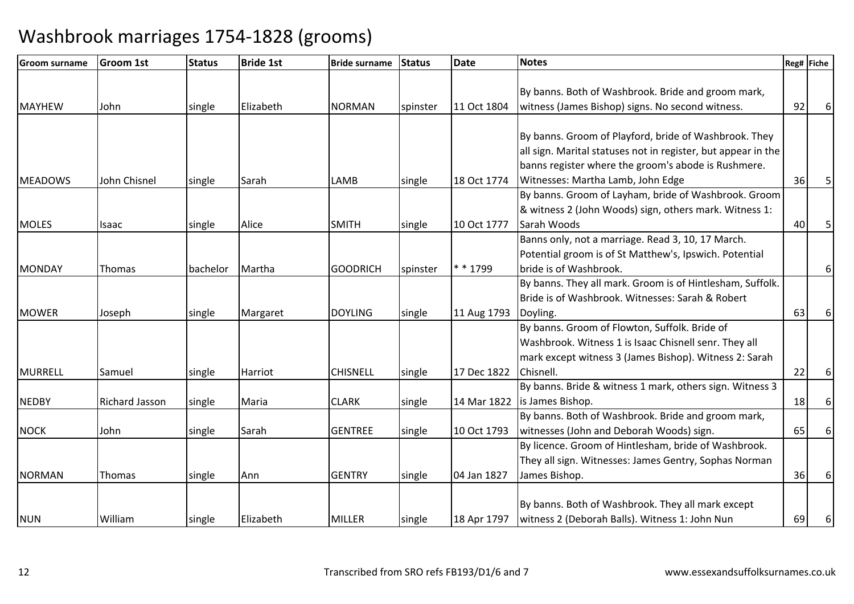| <b>Groom surname</b> | <b>Groom 1st</b> | <b>Status</b> | <b>Bride 1st</b> | <b>Bride surname</b> | Status   | <b>Date</b> | <b>Notes</b>                                                  |    | Reg# Fiche |
|----------------------|------------------|---------------|------------------|----------------------|----------|-------------|---------------------------------------------------------------|----|------------|
|                      |                  |               |                  |                      |          |             |                                                               |    |            |
|                      |                  |               |                  |                      |          |             | By banns. Both of Washbrook. Bride and groom mark,            |    |            |
| <b>MAYHEW</b>        | John             | single        | Elizabeth        | <b>NORMAN</b>        | spinster | 11 Oct 1804 | witness (James Bishop) signs. No second witness.              | 92 |            |
|                      |                  |               |                  |                      |          |             |                                                               |    |            |
|                      |                  |               |                  |                      |          |             | By banns. Groom of Playford, bride of Washbrook. They         |    |            |
|                      |                  |               |                  |                      |          |             | all sign. Marital statuses not in register, but appear in the |    |            |
|                      |                  |               |                  |                      |          |             | banns register where the groom's abode is Rushmere.           |    |            |
| <b>MEADOWS</b>       | John Chisnel     | single        | Sarah            | LAMB                 | single   | 18 Oct 1774 | Witnesses: Martha Lamb, John Edge                             | 36 |            |
|                      |                  |               |                  |                      |          |             | By banns. Groom of Layham, bride of Washbrook. Groom          |    |            |
|                      |                  |               |                  |                      |          |             | & witness 2 (John Woods) sign, others mark. Witness 1:        |    |            |
| <b>MOLES</b>         | Isaac            | single        | Alice            | <b>SMITH</b>         | single   | 10 Oct 1777 | Sarah Woods                                                   | 40 | 5          |
|                      |                  |               |                  |                      |          |             | Banns only, not a marriage. Read 3, 10, 17 March.             |    |            |
|                      |                  |               |                  |                      |          |             | Potential groom is of St Matthew's, Ipswich. Potential        |    |            |
| MONDAY               | Thomas           | bachelor      | Martha           | <b>GOODRICH</b>      | spinster | * * 1799    | bride is of Washbrook.                                        |    | 6          |
|                      |                  |               |                  |                      |          |             | By banns. They all mark. Groom is of Hintlesham, Suffolk.     |    |            |
|                      |                  |               |                  |                      |          |             | Bride is of Washbrook. Witnesses: Sarah & Robert              |    |            |
| <b>MOWER</b>         | Joseph           | single        | Margaret         | <b>DOYLING</b>       | single   | 11 Aug 1793 | Doyling.                                                      | 63 | 6          |
|                      |                  |               |                  |                      |          |             | By banns. Groom of Flowton, Suffolk. Bride of                 |    |            |
|                      |                  |               |                  |                      |          |             | Washbrook. Witness 1 is Isaac Chisnell senr. They all         |    |            |
|                      |                  |               |                  |                      |          |             | mark except witness 3 (James Bishop). Witness 2: Sarah        |    |            |
| <b>MURRELL</b>       | Samuel           | single        | Harriot          | <b>CHISNELL</b>      | single   | 17 Dec 1822 | Chisnell.                                                     | 22 |            |
|                      |                  |               |                  |                      |          |             | By banns. Bride & witness 1 mark, others sign. Witness 3      |    |            |
| <b>NEDBY</b>         | Richard Jasson   | single        | Maria            | <b>CLARK</b>         | single   | 14 Mar 1822 | is James Bishop.                                              | 18 | 6          |
|                      |                  |               |                  |                      |          |             | By banns. Both of Washbrook. Bride and groom mark,            |    |            |
| <b>NOCK</b>          | John             | single        | Sarah            | <b>GENTREE</b>       | single   | 10 Oct 1793 | witnesses (John and Deborah Woods) sign.                      | 65 | 6          |
|                      |                  |               |                  |                      |          |             | By licence. Groom of Hintlesham, bride of Washbrook.          |    |            |
|                      |                  |               |                  |                      |          |             | They all sign. Witnesses: James Gentry, Sophas Norman         |    |            |
| <b>NORMAN</b>        | <b>Thomas</b>    | single        | Ann              | <b>GENTRY</b>        | single   | 04 Jan 1827 | James Bishop.                                                 | 36 | 6          |
|                      |                  |               |                  |                      |          |             |                                                               |    |            |
|                      |                  |               |                  |                      |          |             | By banns. Both of Washbrook. They all mark except             |    |            |
| <b>NUN</b>           | William          | single        | Elizabeth        | <b>MILLER</b>        | single   | 18 Apr 1797 | witness 2 (Deborah Balls). Witness 1: John Nun                | 69 | 6          |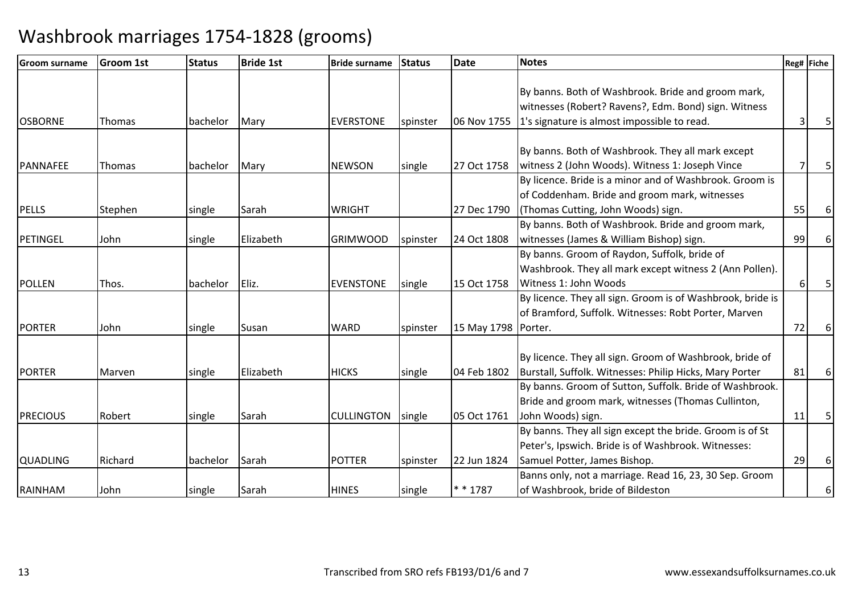| <b>Groom surname</b> | <b>Groom 1st</b> | <b>Status</b> | <b>Bride 1st</b> | <b>Bride surname</b> | <b>Status</b> | <b>Date</b>           | <b>Notes</b>                                               |    | Reg# Fiche |
|----------------------|------------------|---------------|------------------|----------------------|---------------|-----------------------|------------------------------------------------------------|----|------------|
|                      |                  |               |                  |                      |               |                       |                                                            |    |            |
|                      |                  |               |                  |                      |               |                       | By banns. Both of Washbrook. Bride and groom mark,         |    |            |
|                      |                  |               |                  |                      |               |                       | witnesses (Robert? Ravens?, Edm. Bond) sign. Witness       |    |            |
| <b>OSBORNE</b>       | <b>Thomas</b>    | bachelor      | Mary             | <b>EVERSTONE</b>     | spinster      | 06 Nov 1755           | 1's signature is almost impossible to read.                |    |            |
|                      |                  |               |                  |                      |               |                       |                                                            |    |            |
|                      |                  |               |                  |                      |               |                       | By banns. Both of Washbrook. They all mark except          |    |            |
| <b>PANNAFEE</b>      | <b>Thomas</b>    | bachelor      | Mary             | <b>NEWSON</b>        | single        | 27 Oct 1758           | witness 2 (John Woods). Witness 1: Joseph Vince            |    |            |
|                      |                  |               |                  |                      |               |                       | By licence. Bride is a minor and of Washbrook. Groom is    |    |            |
|                      |                  |               |                  |                      |               |                       | of Coddenham. Bride and groom mark, witnesses              |    |            |
| <b>PELLS</b>         | Stephen          | single        | Sarah            | <b>WRIGHT</b>        |               | 27 Dec 1790           | (Thomas Cutting, John Woods) sign.                         | 55 |            |
|                      |                  |               |                  |                      |               |                       | By banns. Both of Washbrook. Bride and groom mark,         |    |            |
| <b>PETINGEL</b>      | John             | single        | Elizabeth        | <b>GRIMWOOD</b>      | spinster      | 24 Oct 1808           | witnesses (James & William Bishop) sign.                   | 99 |            |
|                      |                  |               |                  |                      |               |                       | By banns. Groom of Raydon, Suffolk, bride of               |    |            |
|                      |                  |               |                  |                      |               |                       | Washbrook. They all mark except witness 2 (Ann Pollen).    |    |            |
| <b>POLLEN</b>        | Thos.            | bachelor      | Eliz.            | <b>EVENSTONE</b>     | single        | 15 Oct 1758           | Witness 1: John Woods                                      |    | 5          |
|                      |                  |               |                  |                      |               |                       | By licence. They all sign. Groom is of Washbrook, bride is |    |            |
|                      |                  |               |                  |                      |               |                       | of Bramford, Suffolk. Witnesses: Robt Porter, Marven       |    |            |
| <b>PORTER</b>        | John             | single        | Susan            | <b>WARD</b>          | spinster      | 15 May 1798   Porter. |                                                            | 72 | 6          |
|                      |                  |               |                  |                      |               |                       |                                                            |    |            |
|                      |                  |               |                  |                      |               |                       | By licence. They all sign. Groom of Washbrook, bride of    |    |            |
| <b>PORTER</b>        | Marven           | single        | Elizabeth        | <b>HICKS</b>         | single        | 04 Feb 1802           | Burstall, Suffolk. Witnesses: Philip Hicks, Mary Porter    | 81 | 6          |
|                      |                  |               |                  |                      |               |                       | By banns. Groom of Sutton, Suffolk. Bride of Washbrook.    |    |            |
|                      |                  |               |                  |                      |               |                       | Bride and groom mark, witnesses (Thomas Cullinton,         |    |            |
| <b>PRECIOUS</b>      | Robert           | single        | Sarah            | <b>CULLINGTON</b>    | single        | 05 Oct 1761           | John Woods) sign.                                          | 11 | 5          |
|                      |                  |               |                  |                      |               |                       | By banns. They all sign except the bride. Groom is of St   |    |            |
|                      |                  |               |                  |                      |               |                       | Peter's, Ipswich. Bride is of Washbrook. Witnesses:        |    |            |
| <b>QUADLING</b>      | Richard          | bachelor      | Sarah            | <b>POTTER</b>        | spinster      | 22 Jun 1824           | Samuel Potter, James Bishop.                               | 29 | 6          |
|                      |                  |               |                  |                      |               |                       | Banns only, not a marriage. Read 16, 23, 30 Sep. Groom     |    |            |
| RAINHAM              | John             | single        | Sarah            | <b>HINES</b>         | single        | * * 1787              | of Washbrook, bride of Bildeston                           |    | 6          |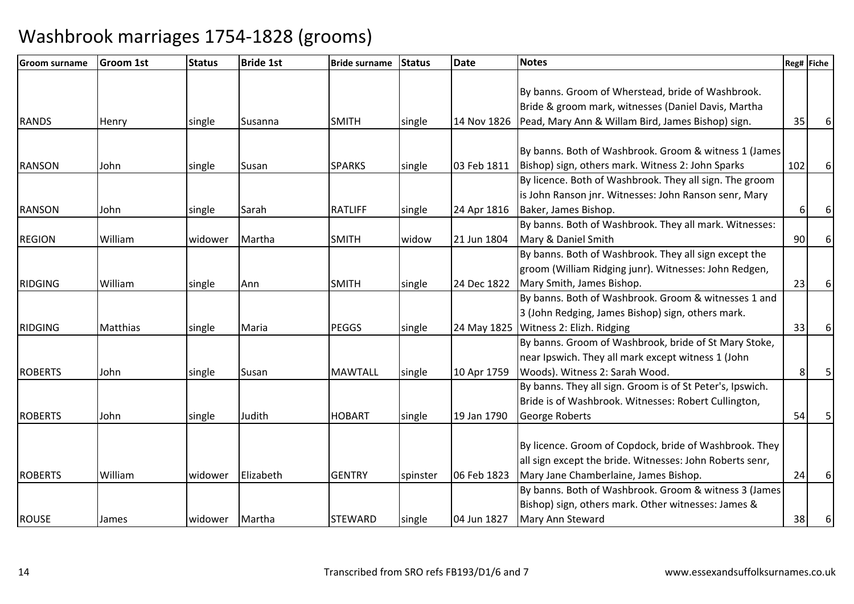| <b>Groom surname</b> | <b>Groom 1st</b> | <b>Status</b> | <b>Bride 1st</b> | <b>Bride surname</b> | Status   | <b>Date</b> | <b>Notes</b>                                              |     | Reg# Fiche |
|----------------------|------------------|---------------|------------------|----------------------|----------|-------------|-----------------------------------------------------------|-----|------------|
|                      |                  |               |                  |                      |          |             |                                                           |     |            |
|                      |                  |               |                  |                      |          |             | By banns. Groom of Wherstead, bride of Washbrook.         |     |            |
|                      |                  |               |                  |                      |          |             | Bride & groom mark, witnesses (Daniel Davis, Martha       |     |            |
| <b>RANDS</b>         | Henry            | single        | Susanna          | <b>SMITH</b>         | single   | 14 Nov 1826 | Pead, Mary Ann & Willam Bird, James Bishop) sign.         | 35  | 6          |
|                      |                  |               |                  |                      |          |             |                                                           |     |            |
|                      |                  |               |                  |                      |          |             | By banns. Both of Washbrook. Groom & witness 1 (James     |     |            |
| <b>RANSON</b>        | John             | single        | Susan            | <b>SPARKS</b>        | single   | 03 Feb 1811 | Bishop) sign, others mark. Witness 2: John Sparks         | 102 | 6          |
|                      |                  |               |                  |                      |          |             | By licence. Both of Washbrook. They all sign. The groom   |     |            |
|                      |                  |               |                  |                      |          |             | is John Ranson jnr. Witnesses: John Ranson senr, Mary     |     |            |
| <b>RANSON</b>        | John             | single        | Sarah            | <b>RATLIFF</b>       | single   | 24 Apr 1816 | Baker, James Bishop.                                      | 6   | 6          |
|                      |                  |               |                  |                      |          |             | By banns. Both of Washbrook. They all mark. Witnesses:    |     |            |
| <b>REGION</b>        | William          | widower       | Martha           | <b>SMITH</b>         | widow    | 21 Jun 1804 | Mary & Daniel Smith                                       | 90  | 6          |
|                      |                  |               |                  |                      |          |             | By banns. Both of Washbrook. They all sign except the     |     |            |
|                      |                  |               |                  |                      |          |             | groom (William Ridging junr). Witnesses: John Redgen,     |     |            |
| <b>RIDGING</b>       | William          | single        | Ann              | <b>SMITH</b>         | single   | 24 Dec 1822 | Mary Smith, James Bishop.                                 | 23  | 6          |
|                      |                  |               |                  |                      |          |             | By banns. Both of Washbrook. Groom & witnesses 1 and      |     |            |
|                      |                  |               |                  |                      |          |             | 3 (John Redging, James Bishop) sign, others mark.         |     |            |
| <b>RIDGING</b>       | <b>Matthias</b>  | single        | Maria            | <b>PEGGS</b>         | single   |             | 24 May 1825   Witness 2: Elizh. Ridging                   | 33  | 6          |
|                      |                  |               |                  |                      |          |             | By banns. Groom of Washbrook, bride of St Mary Stoke,     |     |            |
|                      |                  |               |                  |                      |          |             | near Ipswich. They all mark except witness 1 (John        |     |            |
| <b>ROBERTS</b>       | John             | single        | Susan            | <b>MAWTALL</b>       | single   | 10 Apr 1759 | Woods). Witness 2: Sarah Wood.                            | 8   |            |
|                      |                  |               |                  |                      |          |             | By banns. They all sign. Groom is of St Peter's, Ipswich. |     |            |
|                      |                  |               |                  |                      |          |             | Bride is of Washbrook. Witnesses: Robert Cullington,      |     |            |
| <b>ROBERTS</b>       | John             | single        | Judith           | <b>HOBART</b>        | single   | 19 Jan 1790 | George Roberts                                            | 54  |            |
|                      |                  |               |                  |                      |          |             |                                                           |     |            |
|                      |                  |               |                  |                      |          |             | By licence. Groom of Copdock, bride of Washbrook. They    |     |            |
|                      |                  |               |                  |                      |          |             | all sign except the bride. Witnesses: John Roberts senr,  |     |            |
| <b>ROBERTS</b>       | William          | widower       | Elizabeth        | <b>GENTRY</b>        | spinster | 06 Feb 1823 | Mary Jane Chamberlaine, James Bishop.                     | 24  | 6          |
|                      |                  |               |                  |                      |          |             | By banns. Both of Washbrook. Groom & witness 3 (James)    |     |            |
|                      |                  |               |                  |                      |          |             | Bishop) sign, others mark. Other witnesses: James &       |     |            |
| <b>ROUSE</b>         | James            | widower       | Martha           | <b>STEWARD</b>       | single   | 04 Jun 1827 | Mary Ann Steward                                          | 38  | 6          |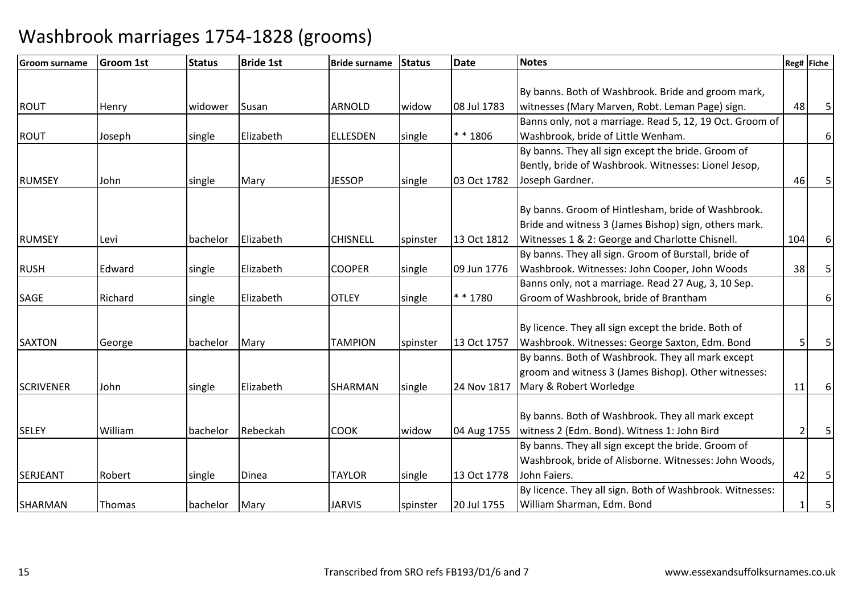| <b>Groom surname</b> | <b>Groom 1st</b> | <b>Status</b> | <b>Bride 1st</b> | <b>Bride surname</b> | Status   | <b>Date</b> | <b>Notes</b>                                             |     | Reg# Fiche     |
|----------------------|------------------|---------------|------------------|----------------------|----------|-------------|----------------------------------------------------------|-----|----------------|
|                      |                  |               |                  |                      |          |             |                                                          |     |                |
|                      |                  |               |                  |                      |          |             | By banns. Both of Washbrook. Bride and groom mark,       |     |                |
| <b>ROUT</b>          | Henry            | widower       | Susan            | ARNOLD               | widow    | 08 Jul 1783 | witnesses (Mary Marven, Robt. Leman Page) sign.          | 48  | 5              |
|                      |                  |               |                  |                      |          |             | Banns only, not a marriage. Read 5, 12, 19 Oct. Groom of |     |                |
| <b>ROUT</b>          | Joseph           | single        | Elizabeth        | <b>ELLESDEN</b>      | single   | $* * 1806$  | Washbrook, bride of Little Wenham.                       |     | $6 \mid$       |
|                      |                  |               |                  |                      |          |             | By banns. They all sign except the bride. Groom of       |     |                |
|                      |                  |               |                  |                      |          |             | Bently, bride of Washbrook. Witnesses: Lionel Jesop,     |     |                |
| <b>RUMSEY</b>        | John             | single        | Mary             | <b>JESSOP</b>        | single   | 03 Oct 1782 | Joseph Gardner.                                          | 46  | 5              |
|                      |                  |               |                  |                      |          |             |                                                          |     |                |
|                      |                  |               |                  |                      |          |             | By banns. Groom of Hintlesham, bride of Washbrook.       |     |                |
|                      |                  |               |                  |                      |          |             | Bride and witness 3 (James Bishop) sign, others mark.    |     |                |
| <b>RUMSEY</b>        | Levi             | bachelor      | Elizabeth        | <b>CHISNELL</b>      | spinster | 13 Oct 1812 | Witnesses 1 & 2: George and Charlotte Chisnell.          | 104 | $6 \mid$       |
|                      |                  |               |                  |                      |          |             | By banns. They all sign. Groom of Burstall, bride of     |     |                |
| <b>RUSH</b>          | Edward           | single        | Elizabeth        | <b>COOPER</b>        | single   | 09 Jun 1776 | Washbrook. Witnesses: John Cooper, John Woods            | 38  | 5              |
|                      |                  |               |                  |                      |          |             | Banns only, not a marriage. Read 27 Aug, 3, 10 Sep.      |     |                |
| SAGE                 | Richard          | single        | Elizabeth        | <b>OTLEY</b>         | single   | * * 1780    | Groom of Washbrook, bride of Brantham                    |     | 6 <sup>1</sup> |
|                      |                  |               |                  |                      |          |             |                                                          |     |                |
|                      |                  |               |                  |                      |          |             | By licence. They all sign except the bride. Both of      |     |                |
| <b>SAXTON</b>        | George           | bachelor      | Mary             | <b>TAMPION</b>       | spinster | 13 Oct 1757 | Washbrook. Witnesses: George Saxton, Edm. Bond           |     | 5              |
|                      |                  |               |                  |                      |          |             | By banns. Both of Washbrook. They all mark except        |     |                |
|                      |                  |               |                  |                      |          |             | groom and witness 3 (James Bishop). Other witnesses:     |     |                |
| <b>SCRIVENER</b>     | John             | single        | Elizabeth        | SHARMAN              | single   | 24 Nov 1817 | Mary & Robert Worledge                                   | 11  | 6              |
|                      |                  |               |                  |                      |          |             |                                                          |     |                |
|                      |                  |               |                  |                      |          |             | By banns. Both of Washbrook. They all mark except        |     |                |
| <b>SELEY</b>         | William          | bachelor      | Rebeckah         | <b>COOK</b>          | widow    | 04 Aug 1755 | witness 2 (Edm. Bond). Witness 1: John Bird              |     | 5              |
|                      |                  |               |                  |                      |          |             | By banns. They all sign except the bride. Groom of       |     |                |
|                      |                  |               |                  |                      |          |             | Washbrook, bride of Alisborne. Witnesses: John Woods,    |     |                |
| <b>SERJEANT</b>      | Robert           | single        | Dinea            | <b>TAYLOR</b>        | single   | 13 Oct 1778 | John Faiers.                                             | 42  | 5              |
|                      |                  |               |                  |                      |          |             | By licence. They all sign. Both of Washbrook. Witnesses: |     |                |
| <b>SHARMAN</b>       | <b>Thomas</b>    | bachelor      | Mary             | <b>JARVIS</b>        | spinster | 20 Jul 1755 | William Sharman, Edm. Bond                               |     | 5              |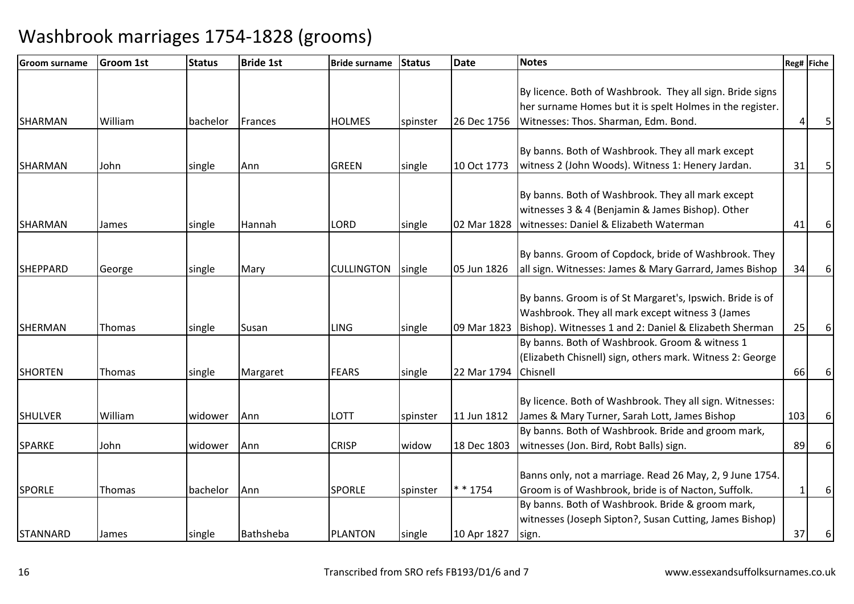| Groom surname   | <b>Groom 1st</b> | <b>Status</b> | <b>Bride 1st</b> | <b>Bride surname</b> | Status   | <b>Date</b> | <b>Notes</b>                                              |     | Reg# Fiche |
|-----------------|------------------|---------------|------------------|----------------------|----------|-------------|-----------------------------------------------------------|-----|------------|
|                 |                  |               |                  |                      |          |             |                                                           |     |            |
|                 |                  |               |                  |                      |          |             | By licence. Both of Washbrook. They all sign. Bride signs |     |            |
|                 |                  |               |                  |                      |          |             | her surname Homes but it is spelt Holmes in the register. |     |            |
| <b>SHARMAN</b>  | William          | bachelor      | Frances          | <b>HOLMES</b>        | spinster | 26 Dec 1756 | Witnesses: Thos. Sharman, Edm. Bond.                      |     |            |
|                 |                  |               |                  |                      |          |             |                                                           |     |            |
|                 |                  |               |                  |                      |          |             | By banns. Both of Washbrook. They all mark except         |     |            |
| <b>SHARMAN</b>  | John             | single        | Ann              | <b>GREEN</b>         | single   | 10 Oct 1773 | witness 2 (John Woods). Witness 1: Henery Jardan.         | 31  | 5          |
|                 |                  |               |                  |                      |          |             |                                                           |     |            |
|                 |                  |               |                  |                      |          |             | By banns. Both of Washbrook. They all mark except         |     |            |
|                 |                  |               |                  |                      |          |             | witnesses 3 & 4 (Benjamin & James Bishop). Other          |     |            |
| <b>SHARMAN</b>  | James            | single        | Hannah           | <b>LORD</b>          | single   | 02 Mar 1828 | witnesses: Daniel & Elizabeth Waterman                    | 41  | 6          |
|                 |                  |               |                  |                      |          |             |                                                           |     |            |
|                 |                  |               |                  |                      |          |             | By banns. Groom of Copdock, bride of Washbrook. They      |     |            |
| <b>SHEPPARD</b> | George           | single        | Mary             | <b>CULLINGTON</b>    | single   | 05 Jun 1826 | all sign. Witnesses: James & Mary Garrard, James Bishop   | 34  | 6          |
|                 |                  |               |                  |                      |          |             |                                                           |     |            |
|                 |                  |               |                  |                      |          |             | By banns. Groom is of St Margaret's, Ipswich. Bride is of |     |            |
|                 |                  |               |                  |                      |          |             | Washbrook. They all mark except witness 3 (James          |     |            |
| <b>SHERMAN</b>  | <b>Thomas</b>    | single        | Susan            | <b>LING</b>          | single   | 09 Mar 1823 | Bishop). Witnesses 1 and 2: Daniel & Elizabeth Sherman    | 25  |            |
|                 |                  |               |                  |                      |          |             | By banns. Both of Washbrook. Groom & witness 1            |     |            |
|                 |                  |               |                  |                      |          |             | (Elizabeth Chisnell) sign, others mark. Witness 2: George |     |            |
| <b>SHORTEN</b>  | Thomas           | single        | Margaret         | <b>FEARS</b>         | single   | 22 Mar 1794 | Chisnell                                                  | 66  | 6          |
|                 |                  |               |                  |                      |          |             |                                                           |     |            |
|                 |                  |               |                  |                      |          |             | By licence. Both of Washbrook. They all sign. Witnesses:  |     |            |
| <b>SHULVER</b>  | William          | widower       | Ann              | <b>LOTT</b>          | spinster | 11 Jun 1812 | James & Mary Turner, Sarah Lott, James Bishop             | 103 | 6          |
|                 |                  |               |                  |                      |          |             | By banns. Both of Washbrook. Bride and groom mark,        |     |            |
| <b>SPARKE</b>   | John             | widower       | Ann              | <b>CRISP</b>         | widow    | 18 Dec 1803 | witnesses (Jon. Bird, Robt Balls) sign.                   | 89  | 6          |
|                 |                  |               |                  |                      |          |             |                                                           |     |            |
|                 |                  |               |                  |                      |          |             | Banns only, not a marriage. Read 26 May, 2, 9 June 1754.  |     |            |
| <b>SPORLE</b>   | Thomas           | bachelor      | Ann              | <b>SPORLE</b>        | spinster | * * 1754    | Groom is of Washbrook, bride is of Nacton, Suffolk.       |     | 6          |
|                 |                  |               |                  |                      |          |             | By banns. Both of Washbrook. Bride & groom mark,          |     |            |
|                 |                  |               |                  |                      |          |             | witnesses (Joseph Sipton?, Susan Cutting, James Bishop)   |     |            |
| STANNARD        | James            | single        | Bathsheba        | <b>PLANTON</b>       | single   | 10 Apr 1827 | sign.                                                     | 37  | 6          |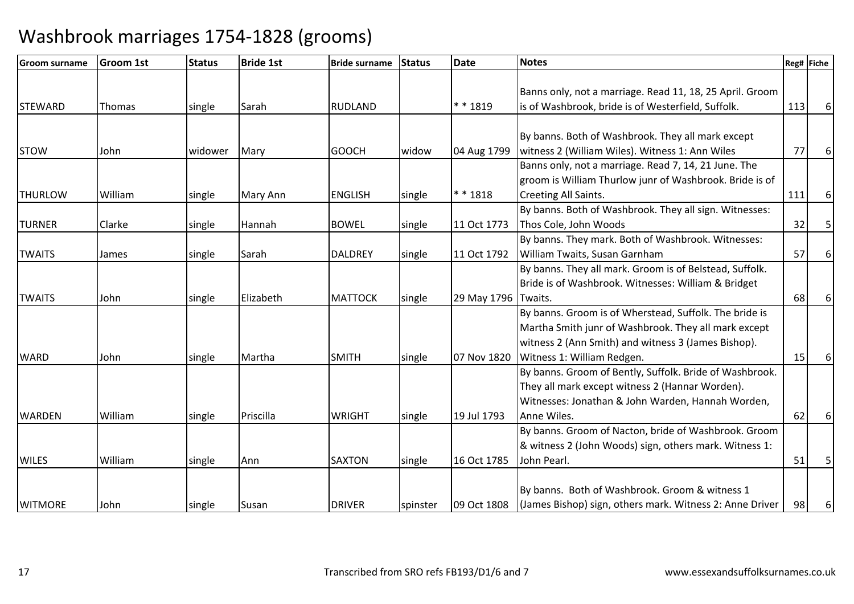| <b>Groom surname</b> | <b>Groom 1st</b> | <b>Status</b> | <b>Bride 1st</b> | <b>Bride surname</b> | <b>Status</b> | <b>Date</b>         | <b>Notes</b>                                             |     | Reg# Fiche |
|----------------------|------------------|---------------|------------------|----------------------|---------------|---------------------|----------------------------------------------------------|-----|------------|
|                      |                  |               |                  |                      |               |                     |                                                          |     |            |
|                      |                  |               |                  |                      |               |                     | Banns only, not a marriage. Read 11, 18, 25 April. Groom |     |            |
| <b>STEWARD</b>       | Thomas           | single        | Sarah            | <b>RUDLAND</b>       |               | ** 1819             | is of Washbrook, bride is of Westerfield, Suffolk.       | 113 | 6          |
|                      |                  |               |                  |                      |               |                     |                                                          |     |            |
|                      |                  |               |                  |                      |               |                     | By banns. Both of Washbrook. They all mark except        |     |            |
| <b>STOW</b>          | John             | widower       | Mary             | <b>GOOCH</b>         | widow         | 04 Aug 1799         | witness 2 (William Wiles). Witness 1: Ann Wiles          | 77  | 6          |
|                      |                  |               |                  |                      |               |                     | Banns only, not a marriage. Read 7, 14, 21 June. The     |     |            |
|                      |                  |               |                  |                      |               |                     | groom is William Thurlow junr of Washbrook. Bride is of  |     |            |
| <b>THURLOW</b>       | William          | single        | Mary Ann         | <b>ENGLISH</b>       | single        | $* * 1818$          | Creeting All Saints.                                     | 111 | 6          |
|                      |                  |               |                  |                      |               |                     | By banns. Both of Washbrook. They all sign. Witnesses:   |     |            |
| <b>TURNER</b>        | Clarke           | single        | Hannah           | <b>BOWEL</b>         | single        | 11 Oct 1773         | Thos Cole, John Woods                                    | 32  | 5          |
|                      |                  |               |                  |                      |               |                     | By banns. They mark. Both of Washbrook. Witnesses:       |     |            |
| <b>TWAITS</b>        | James            | single        | Sarah            | <b>DALDREY</b>       | single        | 11 Oct 1792         | William Twaits, Susan Garnham                            | 57  | 6          |
|                      |                  |               |                  |                      |               |                     | By banns. They all mark. Groom is of Belstead, Suffolk.  |     |            |
|                      |                  |               |                  |                      |               |                     | Bride is of Washbrook. Witnesses: William & Bridget      |     |            |
| <b>TWAITS</b>        | John             | single        | Elizabeth        | <b>MATTOCK</b>       | single        | 29 May 1796 Twaits. |                                                          | 68  | 6          |
|                      |                  |               |                  |                      |               |                     | By banns. Groom is of Wherstead, Suffolk. The bride is   |     |            |
|                      |                  |               |                  |                      |               |                     | Martha Smith junr of Washbrook. They all mark except     |     |            |
|                      |                  |               |                  |                      |               |                     | witness 2 (Ann Smith) and witness 3 (James Bishop).      |     |            |
| <b>WARD</b>          | John             | single        | Martha           | <b>SMITH</b>         | single        | 07 Nov 1820         | Witness 1: William Redgen.                               | 15  | 6          |
|                      |                  |               |                  |                      |               |                     | By banns. Groom of Bently, Suffolk. Bride of Washbrook.  |     |            |
|                      |                  |               |                  |                      |               |                     | They all mark except witness 2 (Hannar Worden).          |     |            |
|                      |                  |               |                  |                      |               |                     | Witnesses: Jonathan & John Warden, Hannah Worden,        |     |            |
| <b>WARDEN</b>        | William          | single        | Priscilla        | <b>WRIGHT</b>        | single        | 19 Jul 1793         | Anne Wiles.                                              | 62  | 6          |
|                      |                  |               |                  |                      |               |                     | By banns. Groom of Nacton, bride of Washbrook. Groom     |     |            |
|                      |                  |               |                  |                      |               |                     | & witness 2 (John Woods) sign, others mark. Witness 1:   |     |            |
| <b>WILES</b>         | William          | single        | Ann              | <b>SAXTON</b>        | single        | 16 Oct 1785         | John Pearl.                                              | 51  |            |
|                      |                  |               |                  |                      |               |                     |                                                          |     |            |
|                      |                  |               |                  |                      |               |                     | By banns. Both of Washbrook. Groom & witness 1           |     |            |
| <b>WITMORE</b>       | John             | single        | Susan            | <b>DRIVER</b>        | spinster      | 09 Oct 1808         | (James Bishop) sign, others mark. Witness 2: Anne Driver | 98  | 6          |